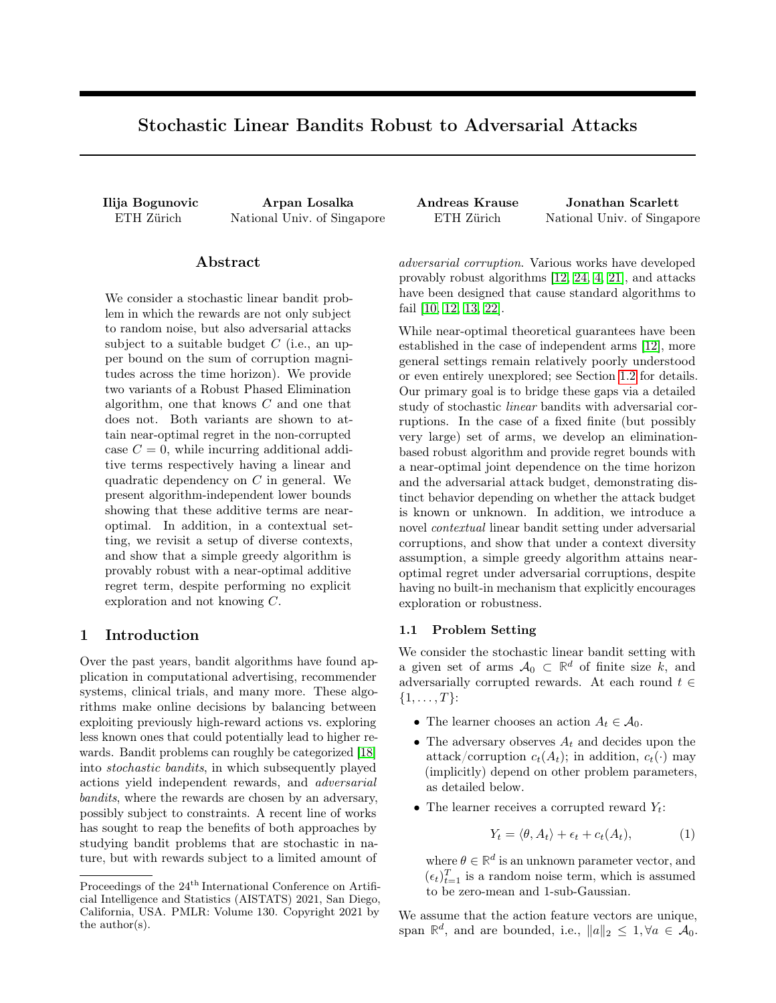## Stochastic Linear Bandits Robust to Adversarial Attacks

## Abstract

We consider a stochastic linear bandit problem in which the rewards are not only subject to random noise, but also adversarial attacks subject to a suitable budget  $C$  (i.e., an upper bound on the sum of corruption magnitudes across the time horizon). We provide two variants of a Robust Phased Elimination algorithm, one that knows C and one that does not. Both variants are shown to attain near-optimal regret in the non-corrupted case  $C = 0$ , while incurring additional additive terms respectively having a linear and quadratic dependency on C in general. We present algorithm-independent lower bounds showing that these additive terms are nearoptimal. In addition, in a contextual setting, we revisit a setup of diverse contexts, and show that a simple greedy algorithm is provably robust with a near-optimal additive regret term, despite performing no explicit exploration and not knowing C.

## 1 Introduction

Over the past years, bandit algorithms have found application in computational advertising, recommender systems, clinical trials, and many more. These algorithms make online decisions by balancing between exploiting previously high-reward actions vs. exploring less known ones that could potentially lead to higher rewards. Bandit problems can roughly be categorized [\[18\]](#page-8-0) into stochastic bandits, in which subsequently played actions yield independent rewards, and adversarial bandits, where the rewards are chosen by an adversary, possibly subject to constraints. A recent line of works has sought to reap the benefits of both approaches by studying bandit problems that are stochastic in nature, but with rewards subject to a limited amount of

Ilija Bogunovic Arpan Losalka Andreas Krause Jonathan Scarlett ETH Zürich National Univ. of Singapore ETH Zürich National Univ. of Singapore

> adversarial corruption. Various works have developed provably robust algorithms [\[12,](#page-8-1) [24,](#page-8-2) [4,](#page-8-3) [21\]](#page-8-4), and attacks have been designed that cause standard algorithms to fail [\[10,](#page-8-5) [12,](#page-8-1) [13,](#page-8-6) [22\]](#page-8-7).

> While near-optimal theoretical guarantees have been established in the case of independent arms [\[12\]](#page-8-1), more general settings remain relatively poorly understood or even entirely unexplored; see Section [1.2](#page-1-0) for details. Our primary goal is to bridge these gaps via a detailed study of stochastic linear bandits with adversarial corruptions. In the case of a fixed finite (but possibly very large) set of arms, we develop an eliminationbased robust algorithm and provide regret bounds with a near-optimal joint dependence on the time horizon and the adversarial attack budget, demonstrating distinct behavior depending on whether the attack budget is known or unknown. In addition, we introduce a novel contextual linear bandit setting under adversarial corruptions, and show that under a context diversity assumption, a simple greedy algorithm attains nearoptimal regret under adversarial corruptions, despite having no built-in mechanism that explicitly encourages exploration or robustness.

## <span id="page-0-0"></span>1.1 Problem Setting

We consider the stochastic linear bandit setting with a given set of arms  $A_0 \subset \mathbb{R}^d$  of finite size k, and adversarially corrupted rewards. At each round  $t \in$  $\{1, \ldots, T\}$ :

- The learner chooses an action  $A_t \in \mathcal{A}_0$ .
- The adversary observes  $A_t$  and decides upon the attack/corruption  $c_t(A_t)$ ; in addition,  $c_t(\cdot)$  may (implicitly) depend on other problem parameters, as detailed below.
- The learner receives a corrupted reward  $Y_t$ :

$$
Y_t = \langle \theta, A_t \rangle + \epsilon_t + c_t(A_t), \tag{1}
$$

where  $\theta \in \mathbb{R}^d$  is an unknown parameter vector, and  $(\epsilon_t)_{t=1}^T$  is a random noise term, which is assumed to be zero-mean and 1-sub-Gaussian.

We assume that the action feature vectors are unique, span  $\mathbb{R}^d$ , and are bounded, i.e.,  $||a||_2 \leq 1, \forall a \in \mathcal{A}_0$ .

Proceedings of the  $24<sup>th</sup>$  International Conference on Artificial Intelligence and Statistics (AISTATS) 2021, San Diego, California, USA. PMLR: Volume 130. Copyright 2021 by the author(s).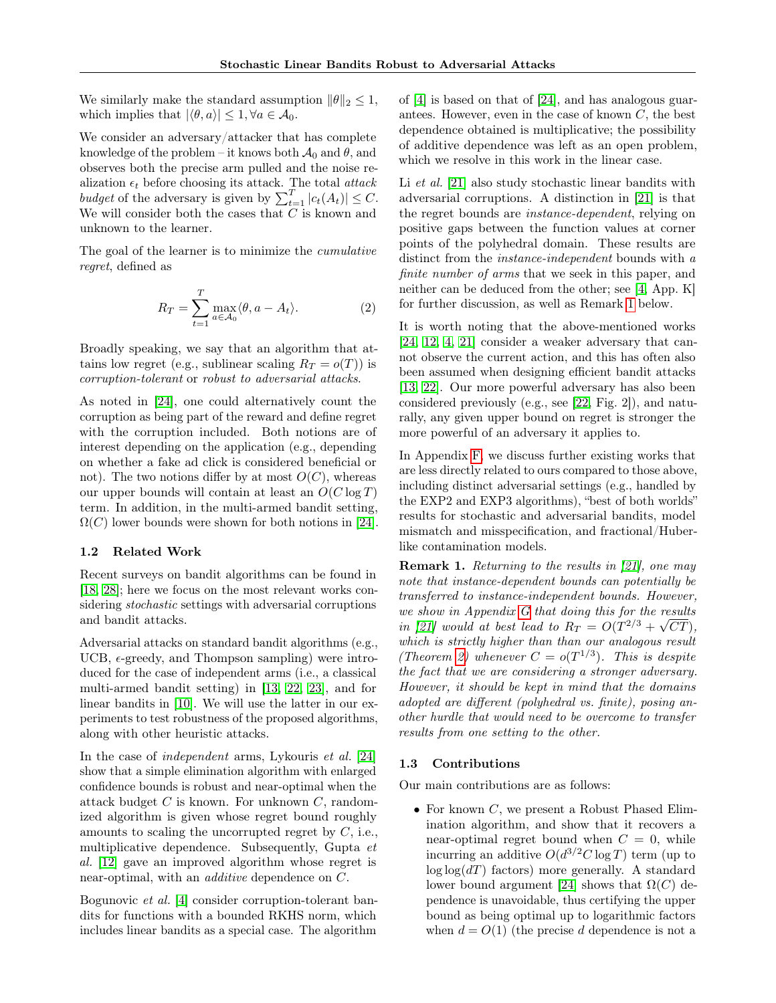We similarly make the standard assumption  $\|\theta\|_2 \leq 1$ , which implies that  $|\langle \theta, a \rangle| \leq 1, \forall a \in \mathcal{A}_0$ .

We consider an adversary/attacker that has complete knowledge of the problem – it knows both  $\mathcal{A}_0$  and  $\theta$ , and observes both the precise arm pulled and the noise realization  $\epsilon_t$  before choosing its attack. The total *attack* budget of the adversary is given by  $\sum_{t=1}^{T} |c_t(A_t)| \leq C$ . We will consider both the cases that  $C$  is known and unknown to the learner.

The goal of the learner is to minimize the cumulative regret, defined as

<span id="page-1-2"></span>
$$
R_T = \sum_{t=1}^T \max_{a \in \mathcal{A}_0} \langle \theta, a - A_t \rangle.
$$
 (2)

Broadly speaking, we say that an algorithm that attains low regret (e.g., sublinear scaling  $R_T = o(T)$ ) is corruption-tolerant or robust to adversarial attacks.

As noted in [\[24\]](#page-8-2), one could alternatively count the corruption as being part of the reward and define regret with the corruption included. Both notions are of interest depending on the application (e.g., depending on whether a fake ad click is considered beneficial or not). The two notions differ by at most  $O(C)$ , whereas our upper bounds will contain at least an  $O(C \log T)$ term. In addition, in the multi-armed bandit setting,  $\Omega(C)$  lower bounds were shown for both notions in [\[24\]](#page-8-2).

#### <span id="page-1-0"></span>1.2 Related Work

Recent surveys on bandit algorithms can be found in [\[18,](#page-8-0) [28\]](#page-9-0); here we focus on the most relevant works considering *stochastic* settings with adversarial corruptions and bandit attacks.

Adversarial attacks on standard bandit algorithms (e.g., UCB,  $\epsilon$ -greedy, and Thompson sampling) were introduced for the case of independent arms (i.e., a classical multi-armed bandit setting) in [\[13,](#page-8-6) [22,](#page-8-7) [23\]](#page-8-8), and for linear bandits in [\[10\]](#page-8-5). We will use the latter in our experiments to test robustness of the proposed algorithms, along with other heuristic attacks.

In the case of independent arms, Lykouris et al. [\[24\]](#page-8-2) show that a simple elimination algorithm with enlarged confidence bounds is robust and near-optimal when the attack budget  $C$  is known. For unknown  $C$ , randomized algorithm is given whose regret bound roughly amounts to scaling the uncorrupted regret by  $C$ , i.e., multiplicative dependence. Subsequently, Gupta et al. [\[12\]](#page-8-1) gave an improved algorithm whose regret is near-optimal, with an additive dependence on C.

Bogunovic et al. [\[4\]](#page-8-3) consider corruption-tolerant bandits for functions with a bounded RKHS norm, which includes linear bandits as a special case. The algorithm

of [\[4\]](#page-8-3) is based on that of [\[24\]](#page-8-2), and has analogous guarantees. However, even in the case of known  $C$ , the best dependence obtained is multiplicative; the possibility of additive dependence was left as an open problem, which we resolve in this work in the linear case.

Li *et al.* [\[21\]](#page-8-4) also study stochastic linear bandits with adversarial corruptions. A distinction in [\[21\]](#page-8-4) is that the regret bounds are instance-dependent, relying on positive gaps between the function values at corner points of the polyhedral domain. These results are distinct from the *instance-independent* bounds with a finite number of arms that we seek in this paper, and neither can be deduced from the other; see [\[4,](#page-8-3) App. K] for further discussion, as well as Remark [1](#page-1-1) below.

It is worth noting that the above-mentioned works [\[24,](#page-8-2) [12,](#page-8-1) [4,](#page-8-3) [21\]](#page-8-4) consider a weaker adversary that cannot observe the current action, and this has often also been assumed when designing efficient bandit attacks [\[13,](#page-8-6) [22\]](#page-8-7). Our more powerful adversary has also been considered previously (e.g., see [\[22,](#page-8-7) Fig. 2]), and naturally, any given upper bound on regret is stronger the more powerful of an adversary it applies to.

In Appendix [F,](#page-22-0) we discuss further existing works that are less directly related to ours compared to those above, including distinct adversarial settings (e.g., handled by the EXP2 and EXP3 algorithms), "best of both worlds" results for stochastic and adversarial bandits, model mismatch and misspecification, and fractional/Huberlike contamination models.

<span id="page-1-1"></span>Remark 1. Returning to the results in [\[21\]](#page-8-4), one may note that instance-dependent bounds can potentially be transferred to instance-independent bounds. However, we show in Appendix [G](#page-24-0) that doing this for the results in [\[21\]](#page-8-4) would at best lead to  $R_T = O(T^{2/3} + \sqrt{CT}),$ which is strictly higher than than our analogous result (Theorem [2\)](#page-3-0) whenever  $C = o(T^{1/3})$ . This is despite the fact that we are considering a stronger adversary. However, it should be kept in mind that the domains adopted are different (polyhedral vs. finite), posing another hurdle that would need to be overcome to transfer results from one setting to the other.

#### 1.3 Contributions

Our main contributions are as follows:

• For known  $C$ , we present a Robust Phased Elimination algorithm, and show that it recovers a near-optimal regret bound when  $C = 0$ , while incurring an additive  $O(d^{3/2}C \log T)$  term (up to  $log log(dT)$  factors) more generally. A standard lower bound argument [\[24\]](#page-8-2) shows that  $\Omega(C)$  dependence is unavoidable, thus certifying the upper bound as being optimal up to logarithmic factors when  $d = O(1)$  (the precise d dependence is not a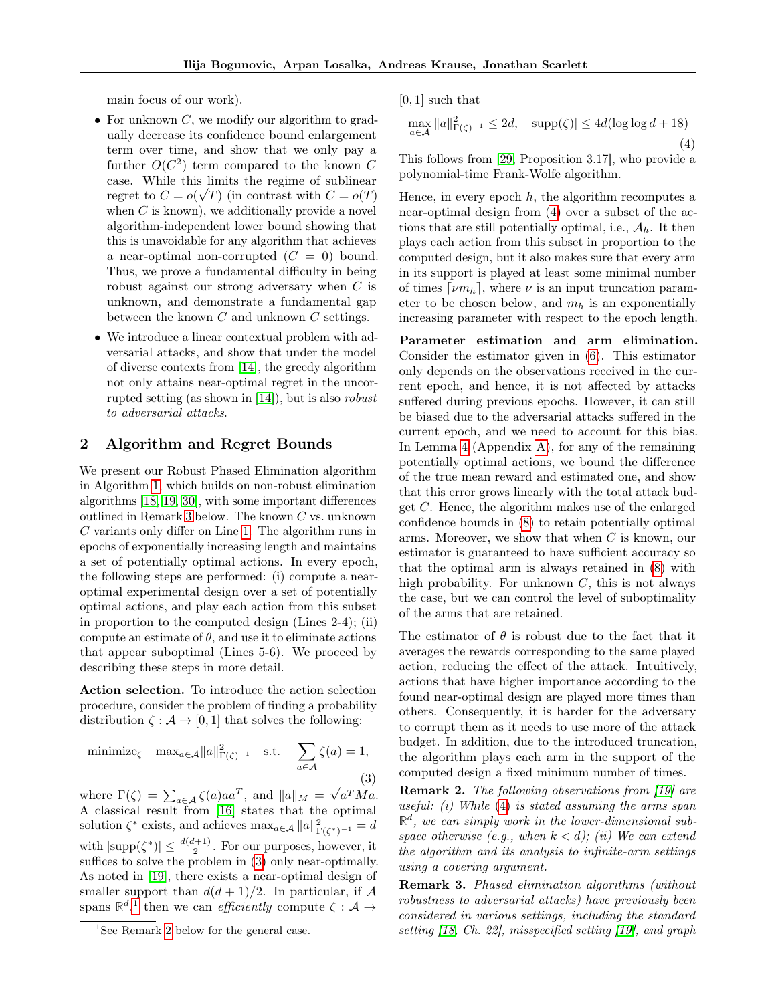main focus of our work).

- For unknown  $C$ , we modify our algorithm to gradually decrease its confidence bound enlargement term over time, and show that we only pay a further  $O(C^2)$  term compared to the known C case. While this limits the regime of sublinear regret to  $C = o(\sqrt{T})$  (in contrast with  $C = o(T)$ ) when  $C$  is known), we additionally provide a novel algorithm-independent lower bound showing that this is unavoidable for any algorithm that achieves a near-optimal non-corrupted  $(C = 0)$  bound. Thus, we prove a fundamental difficulty in being robust against our strong adversary when C is unknown, and demonstrate a fundamental gap between the known C and unknown C settings.
- We introduce a linear contextual problem with adversarial attacks, and show that under the model of diverse contexts from [\[14\]](#page-8-9), the greedy algorithm not only attains near-optimal regret in the uncorrupted setting (as shown in [\[14\]](#page-8-9)), but is also robust to adversarial attacks.

## <span id="page-2-5"></span>2 Algorithm and Regret Bounds

We present our Robust Phased Elimination algorithm in Algorithm [1,](#page-3-1) which builds on non-robust elimination algorithms [\[18,](#page-8-0) [19,](#page-8-10) [30\]](#page-9-1), with some important differences outlined in Remark [3](#page-2-0) below. The known C vs. unknown C variants only differ on Line [1.](#page-3-1) The algorithm runs in epochs of exponentially increasing length and maintains a set of potentially optimal actions. In every epoch, the following steps are performed: (i) compute a nearoptimal experimental design over a set of potentially optimal actions, and play each action from this subset in proportion to the computed design (Lines 2-4); (ii) compute an estimate of  $\theta$ , and use it to eliminate actions that appear suboptimal (Lines 5-6). We proceed by describing these steps in more detail.

Action selection. To introduce the action selection procedure, consider the problem of finding a probability distribution  $\zeta : \mathcal{A} \to [0, 1]$  that solves the following:

<span id="page-2-1"></span>minimize<sub>$$
\zeta
$$</sub> max <sub>$a \in \mathcal{A}$</sub>  || $a||_{\Gamma(\zeta)^{-1}}$  s.t.  $\sum_{a \in \mathcal{A}} \zeta(a) = 1,$  (3)

where  $\Gamma(\zeta) = \sum_{a \in \mathcal{A}} \zeta(a) a a^T$ , and  $||a||_M =$  $a^T Ma.$ A classical result from [\[16\]](#page-8-11) states that the optimal solution  $\zeta^*$  exists, and achieves  $\max_{a \in \mathcal{A}} ||a||^2_{\Gamma(\zeta^*)^{-1}} = d$ with  $|\text{supp}(\zeta^*)| \leq \frac{d(d+1)}{2}$ . For our purposes, however, it suffices to solve the problem in [\(3\)](#page-2-1) only near-optimally. As noted in [\[19\]](#page-8-10), there exists a near-optimal design of smaller support than  $d(d+1)/2$ . In particular, if A spans  $\mathbb{R}^d$ ,<sup>[1](#page-2-2)</sup> then we can *efficiently* compute  $\zeta : A \rightarrow$ 

[0, 1] such that

<span id="page-2-4"></span>
$$
\max_{a \in \mathcal{A}} ||a||_{\Gamma(\zeta)^{-1}}^2 \le 2d, \quad |\text{supp}(\zeta)| \le 4d(\log \log d + 18)
$$
\n(4)

This follows from [\[29,](#page-9-2) Proposition 3.17], who provide a polynomial-time Frank-Wolfe algorithm.

Hence, in every epoch  $h$ , the algorithm recomputes a near-optimal design from [\(4\)](#page-2-4) over a subset of the actions that are still potentially optimal, i.e.,  $A_h$ . It then plays each action from this subset in proportion to the computed design, but it also makes sure that every arm in its support is played at least some minimal number of times  $\lceil \nu m_h \rceil$ , where  $\nu$  is an input truncation parameter to be chosen below, and  $m_h$  is an exponentially increasing parameter with respect to the epoch length.

Parameter estimation and arm elimination. Consider the estimator given in [\(6\)](#page-3-2). This estimator only depends on the observations received in the current epoch, and hence, it is not affected by attacks suffered during previous epochs. However, it can still be biased due to the adversarial attacks suffered in the current epoch, and we need to account for this bias. In Lemma [4](#page-12-0) (Appendix [A\)](#page-10-0), for any of the remaining potentially optimal actions, we bound the difference of the true mean reward and estimated one, and show that this error grows linearly with the total attack budget C. Hence, the algorithm makes use of the enlarged confidence bounds in [\(8\)](#page-3-3) to retain potentially optimal arms. Moreover, we show that when C is known, our estimator is guaranteed to have sufficient accuracy so that the optimal arm is always retained in [\(8\)](#page-3-3) with high probability. For unknown  $C$ , this is not always the case, but we can control the level of suboptimality of the arms that are retained.

The estimator of  $\theta$  is robust due to the fact that it averages the rewards corresponding to the same played action, reducing the effect of the attack. Intuitively, actions that have higher importance according to the found near-optimal design are played more times than others. Consequently, it is harder for the adversary to corrupt them as it needs to use more of the attack budget. In addition, due to the introduced truncation, the algorithm plays each arm in the support of the computed design a fixed minimum number of times.

<span id="page-2-3"></span>Remark 2. The following observations from [\[19\]](#page-8-10) are useful:  $(i)$  While  $(4)$  is stated assuming the arms span  $\mathbb{R}^d$ , we can simply work in the lower-dimensional subspace otherwise (e.g., when  $k < d$ ); (ii) We can extend the algorithm and its analysis to infinite-arm settings using a covering argument.

<span id="page-2-0"></span>Remark 3. Phased elimination algorithms (without robustness to adversarial attacks) have previously been considered in various settings, including the standard setting [\[18,](#page-8-0) Ch. 22], misspecified setting [\[19\]](#page-8-10), and graph

<span id="page-2-2"></span><sup>&</sup>lt;sup>1</sup>See Remark [2](#page-2-3) below for the general case.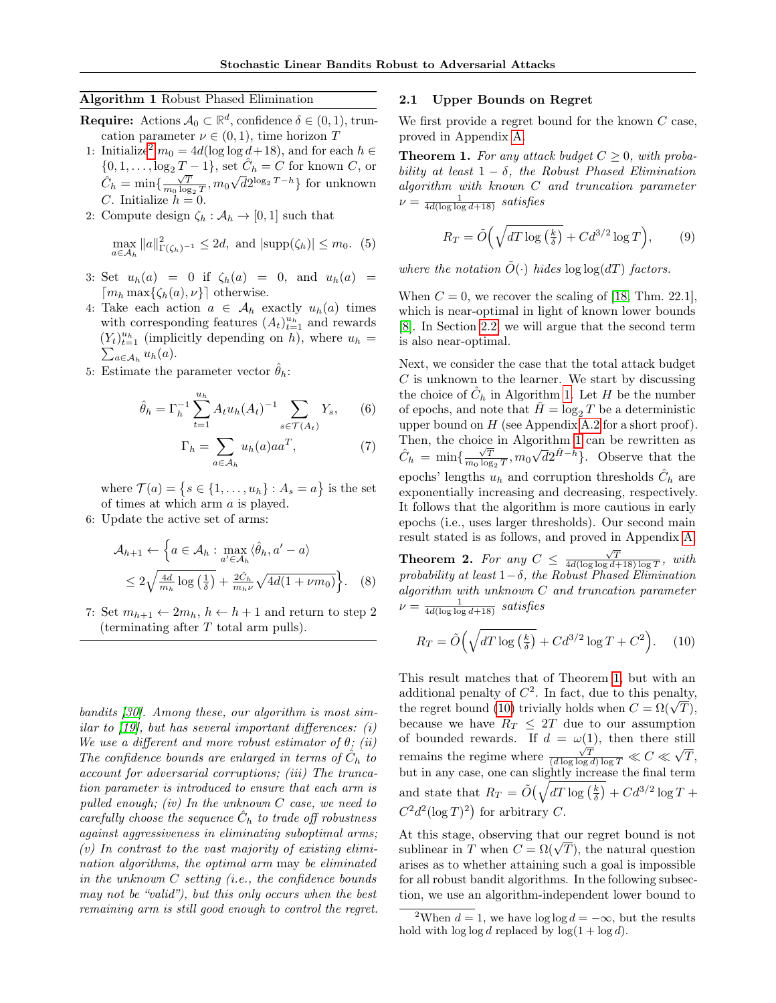<span id="page-3-1"></span>Algorithm 1 Robust Phased Elimination

- **Require:** Actions  $A_0 \subset \mathbb{R}^d$ , confidence  $\delta \in (0,1)$ , truncation parameter  $\nu \in (0,1)$ , time horizon T
- 1: Initialize<sup>[2](#page-3-4)</sup>  $m_0 = 4d(\log \log d + 18)$ , and for each  $h \in$  $\{0, 1, \ldots, \log_2 T - 1\}$ , set  $\hat{C}_h = C$  for known C, or  $\hat{C}_h = \min\{\frac{\sqrt{T}}{m_0 \log_2 T}, m_0\}$ √  $\overline{d}2^{\log_2 T - h} \}$  for unknown C. Initialize  $h = 0$ .
- 2: Compute design  $\zeta_h : A_h \to [0,1]$  such that

<span id="page-3-8"></span>
$$
\max_{a \in \mathcal{A}_h} \|a\|_{\Gamma(\zeta_h)^{-1}}^2 \le 2d, \text{ and } |\text{supp}(\zeta_h)| \le m_0. \tag{5}
$$

- 3: Set  $u_h(a) = 0$  if  $\zeta_h(a) = 0$ , and  $u_h(a) =$  $\lceil m_h \max\{\zeta_h(a), \nu\}\rceil$  otherwise.
- 4: Take each action  $a \in A_h$  exactly  $u_h(a)$  times with corresponding features  $(A_t)_{t=1}^{u_h}$  and rewards  $(Y_t)_{t=1}^{u_h}$  (implicitly depending on h), where  $u_h =$  $\sum_{a\in\mathcal{A}_h}u_h(a).$
- 5: Estimate the parameter vector  $\theta_h$ :

$$
\hat{\theta}_h = \Gamma_h^{-1} \sum_{t=1}^{u_h} A_t u_h (A_t)^{-1} \sum_{s \in \mathcal{T}(A_t)} Y_s, \qquad (6)
$$

$$
\Gamma_h = \sum_{a \in \mathcal{A}_h} u_h(a) a a^T, \tag{7}
$$

where  $\mathcal{T}(a) = \{s \in \{1, \ldots, u_h\} : A_s = a\}$  is the set of times at which arm a is played.

6: Update the active set of arms:

$$
\mathcal{A}_{h+1} \leftarrow \left\{ a \in \mathcal{A}_h : \max_{a' \in \mathcal{A}_h} \langle \hat{\theta}_h, a' - a \rangle \right\}
$$

$$
\leq 2 \sqrt{\frac{4d}{m_h} \log\left(\frac{1}{\delta}\right)} + \frac{2\hat{C}_h}{m_h \nu} \sqrt{4d(1 + \nu m_0)} \right\}.
$$
 (8)

7: Set  $m_{h+1} \leftarrow 2m_h$ ,  $h \leftarrow h+1$  and return to step 2 (terminating after  $T$  total arm pulls).

bandits [\[30\]](#page-9-1). Among these, our algorithm is most similar to  $[19]$ , but has several important differences:  $(i)$ We use a different and more robust estimator of  $\theta$ ; (ii) The confidence bounds are enlarged in terms of  $\hat{C}_h$  to account for adversarial corruptions; (iii) The truncation parameter is introduced to ensure that each arm is pulled enough; (iv) In the unknown  $C$  case, we need to carefully choose the sequence  $\hat{C}_h$  to trade off robustness against aggressiveness in eliminating suboptimal arms;  $(v)$  In contrast to the vast majority of existing elimination algorithms, the optimal arm may be eliminated in the unknown  $C$  setting (i.e., the confidence bounds may not be "valid"), but this only occurs when the best remaining arm is still good enough to control the regret.

#### 2.1 Upper Bounds on Regret

We first provide a regret bound for the known  $C$  case, proved in Appendix [A.](#page-10-0)

<span id="page-3-5"></span>**Theorem 1.** For any attack budget  $C \geq 0$ , with probability at least  $1 - \delta$ , the Robust Phased Elimination algorithm with known C and truncation parameter  $\nu = \frac{1}{4d(\log \log d + 18)}$  satisfies

$$
R_T = \tilde{O}\left(\sqrt{dT \log\left(\frac{k}{\delta}\right)} + C d^{3/2} \log T\right),\tag{9}
$$

where the notation  $\tilde{O}(\cdot)$  hides  $\log \log(dT)$  factors.

When  $C = 0$ , we recover the scaling of [\[18,](#page-8-0) Thm. 22.1], which is near-optimal in light of known lower bounds [\[8\]](#page-8-12). In Section [2.2,](#page-4-0) we will argue that the second term is also near-optimal.

<span id="page-3-7"></span><span id="page-3-2"></span>Next, we consider the case that the total attack budget  $C$  is unknown to the learner. We start by discussing the choice of  $\hat{C}_h$  in Algorithm [1.](#page-3-1) Let H be the number of epochs, and note that  $H = \log_2 T$  be a deterministic upper bound on  $H$  (see Appendix [A.2](#page-12-1) for a short proof). Then, the choice in Algorithm [1](#page-3-1) can be rewritten as Then, the enoted in  $\chi_{\text{Hg}}$ <br>  $\hat{C}_h = \min\{\frac{\sqrt{T}}{m_0 \log_2 T}, m_0\}$ ¦∪¦  $\overline{d}2^{\tilde{H}-h}$ . Observe that the epochs' lengths  $u_h$  and corruption thresholds  $\hat{C}_h$  are exponentially increasing and decreasing, respectively. It follows that the algorithm is more cautious in early epochs (i.e., uses larger thresholds). Our second main result stated is as follows, and proved in Appendix [A.](#page-10-0)

<span id="page-3-3"></span><span id="page-3-0"></span>**Theorem 2.** For any  $C \n\leq \frac{\sqrt{T}}{4d(\log\log d+18)\log T}$ , with probability at least  $1-\delta$ , the Robust Phased Elimination algorithm with unknown C and truncation parameter  $\nu = \frac{1}{4d(\log \log d + 18)}$  satisfies

<span id="page-3-6"></span>
$$
R_T = \tilde{O}\left(\sqrt{dT \log\left(\frac{k}{\delta}\right)} + C d^{3/2} \log T + C^2\right).
$$
 (10)

This result matches that of Theorem [1,](#page-3-5) but with an additional penalty of  $C^2$ . In fact, due to this penalty, additional penalty of C<sup>2</sup>. In fact, due to this penalty,<br>the regret bound [\(10\)](#page-3-6) trivially holds when  $C = \Omega(\sqrt{T})$ , because we have  $R_T \leq 2T$  due to our assumption of bounded rewards. If  $d = \omega(1)$ , then there still remains the regime where  $\frac{\sqrt{T}}{(d \log \log d) \log T} \ll C \ll$ √  $\, T, \,$ but in any case, one can slightly increase the final term and state that  $R_T = \tilde{O}(\sqrt{dT \log(\frac{k}{\delta})} + C d^{3/2} \log T +$  $C^2 d^2 (\log T)^2$  for arbitrary C.

At this stage, observing that our regret bound is not At this stage, observing that our regret bound is not sublinear in T when  $C = \Omega(\sqrt{T})$ , the natural question arises as to whether attaining such a goal is impossible for all robust bandit algorithms. In the following subsection, we use an algorithm-independent lower bound to

<span id="page-3-4"></span><sup>&</sup>lt;sup>2</sup>When  $d = 1$ , we have log log  $d = -\infty$ , but the results hold with  $\log \log d$  replaced by  $\log(1 + \log d)$ .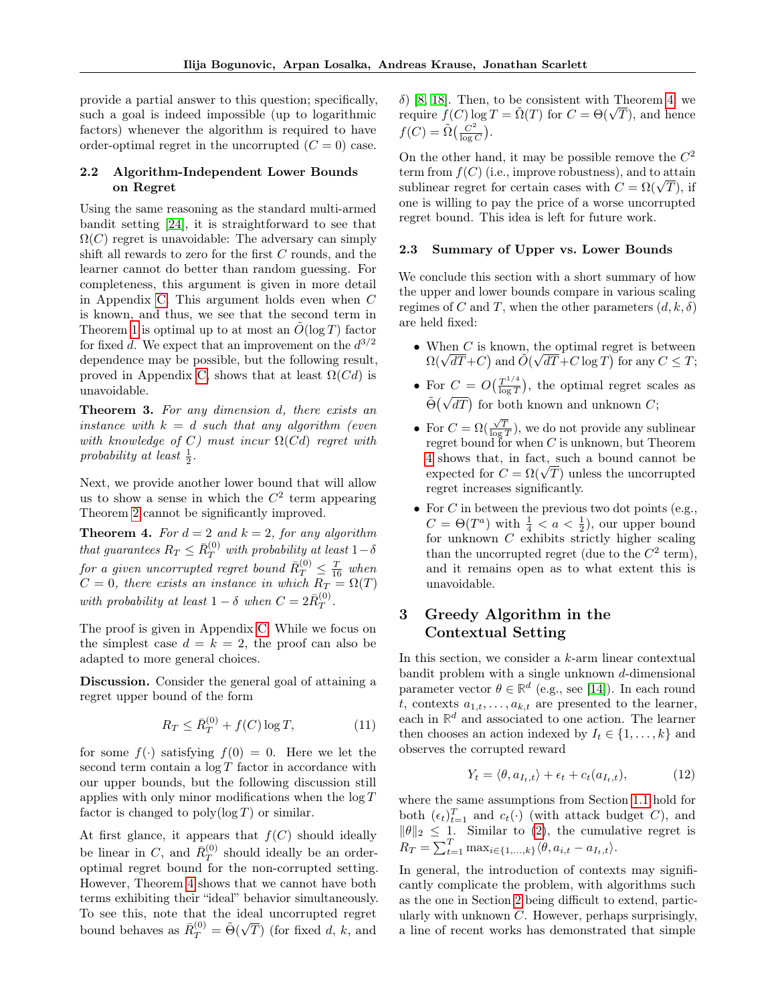provide a partial answer to this question; specifically, such a goal is indeed impossible (up to logarithmic factors) whenever the algorithm is required to have order-optimal regret in the uncorrupted  $(C = 0)$  case.

## <span id="page-4-0"></span>2.2 Algorithm-Independent Lower Bounds on Regret

Using the same reasoning as the standard multi-armed bandit setting [\[24\]](#page-8-2), it is straightforward to see that  $\Omega(C)$  regret is unavoidable: The adversary can simply shift all rewards to zero for the first C rounds, and the learner cannot do better than random guessing. For completeness, this argument is given in more detail in Appendix [C.](#page-19-0) This argument holds even when C is known, and thus, we see that the second term in Theorem [1](#page-3-5) is optimal up to at most an  $O(\log T)$  factor for fixed d. We expect that an improvement on the  $d^{3/2}$ dependence may be possible, but the following result, proved in Appendix [C,](#page-19-0) shows that at least  $\Omega(Cd)$  is unavoidable.

<span id="page-4-3"></span>Theorem 3. For any dimension d, there exists an instance with  $k = d$  such that any algorithm (even with knowledge of C) must incur  $\Omega(Cd)$  regret with probability at least  $\frac{1}{2}$ .

Next, we provide another lower bound that will allow us to show a sense in which the  $C^2$  term appearing Theorem [2](#page-3-0) cannot be significantly improved.

<span id="page-4-1"></span>**Theorem 4.** For  $d = 2$  and  $k = 2$ , for any algorithm that guarantees  $R_T \leq \bar{R}_T^{(0)}$  with probability at least  $1-\delta$ for a given uncorrupted regret bound  $\bar{R}^{(0)}_T\leq \frac{T}{16}$  when  $C = 0$ , there exists an instance in which  $R_T = \Omega(T)$ with probability at least  $1 - \delta$  when  $C = 2 \bar{R}_T^{(0)}$  $T^{(0)}$ .

The proof is given in Appendix [C.](#page-19-0) While we focus on the simplest case  $d = k = 2$ , the proof can also be adapted to more general choices.

Discussion. Consider the general goal of attaining a regret upper bound of the form

$$
R_T \le \bar{R}_T^{(0)} + f(C) \log T,\tag{11}
$$

for some  $f(.)$  satisfying  $f(0) = 0$ . Here we let the second term contain a  $\log T$  factor in accordance with our upper bounds, but the following discussion still applies with only minor modifications when the  $\log T$ factor is changed to  $poly(\log T)$  or similar.

At first glance, it appears that  $f(C)$  should ideally be linear in C, and  $\bar{R}_T^{(0)}$  $T(T$  should ideally be an orderoptimal regret bound for the non-corrupted setting. However, Theorem [4](#page-4-1) shows that we cannot have both terms exhibiting their "ideal" behavior simultaneously. To see this, note that the ideal uncorrupted regret bound behaves as  $\bar{R}_T^{(0)} = \tilde{\Theta}(\sqrt{2\pi})$ T) (for fixed  $d, k$ , and

δ) [\[8,](#page-8-12) [18\]](#page-8-0). Then, to be consistent with Theorem [4,](#page-4-1) we *o*) [8, 18]. Then, to be consistent with Theorem 4, we require  $f(C) \log T = \tilde{\Omega}(T)$  for  $C = \Theta(\sqrt{T})$ , and hence  $f(C) = \tilde{\Omega} \left( \frac{C^2}{\log d} \right)$  $\frac{C^2}{\log C}\Big).$ 

On the other hand, it may be possible remove the  $C^2$ term from  $f(C)$  (i.e., improve robustness), and to attain term from  $f(C)$  (i.e., improve robustness), and to attain<br>sublinear regret for certain cases with  $C = \Omega(\sqrt{T})$ , if one is willing to pay the price of a worse uncorrupted regret bound. This idea is left for future work.

#### 2.3 Summary of Upper vs. Lower Bounds

We conclude this section with a short summary of how the upper and lower bounds compare in various scaling regimes of C and T, when the other parameters  $(d, k, \delta)$ are held fixed:

- When C is known, the optimal regret is between When C is known, the optimal regret is between<br> $\Omega(\sqrt{dT}+C)$  and  $\widetilde{O}(\sqrt{dT}+C \log T)$  for any  $C \leq T$ ;
- For  $C = O(\frac{T^{1/4}}{\log T})$  $\frac{T^{1/4}}{\log T}$ , the optimal regret scales as For  $C = C(\log T)$ , the opening regret is:<br> $\tilde{\Theta}(\sqrt{dT})$  for both known and unknown C;
- For  $C = \Omega(\frac{\sqrt{T}}{\log T})$ , we do not provide any sublinear regret bound for when  $C$  is unknown, but Theorem [4](#page-4-1) shows that, in fact, such a bound cannot be 4 shows that, in fact, such a bound cannot be<br>expected for  $C = \Omega(\sqrt{T})$  unless the uncorrupted regret increases significantly.
- For  $C$  in between the previous two dot points (e.g.,  $C = \Theta(T^a)$  with  $\frac{1}{4} < a < \frac{1}{2}$ , our upper bound for unknown  $C$  exhibits strictly higher scaling than the uncorrupted regret (due to the  $C^2$  term), and it remains open as to what extent this is unavoidable.

## <span id="page-4-2"></span>3 Greedy Algorithm in the Contextual Setting

In this section, we consider a k-arm linear contextual bandit problem with a single unknown d-dimensional parameter vector  $\theta \in \mathbb{R}^d$  (e.g., see [\[14\]](#page-8-9)). In each round t, contexts  $a_{1,t}, \ldots, a_{k,t}$  are presented to the learner, each in  $\mathbb{R}^d$  and associated to one action. The learner then chooses an action indexed by  $I_t \in \{1, \ldots, k\}$  and observes the corrupted reward

$$
Y_t = \langle \theta, a_{I_t, t} \rangle + \epsilon_t + c_t(a_{I_t, t}), \tag{12}
$$

where the same assumptions from Section [1.1](#page-0-0) hold for both  $(\epsilon_t)_{t=1}^T$  and  $c_t(\cdot)$  (with attack budget C), and  $\|\theta\|_2 \leq 1$ . Similar to [\(2\)](#page-1-2), the cumulative regret is  $R_T = \sum_{t=1}^T \max_{i \in \{1,...,k\}} \langle \theta, a_{i,t} - a_{I_t,t} \rangle.$ 

In general, the introduction of contexts may significantly complicate the problem, with algorithms such as the one in Section [2](#page-2-5) being difficult to extend, particularly with unknown  $C$ . However, perhaps surprisingly, a line of recent works has demonstrated that simple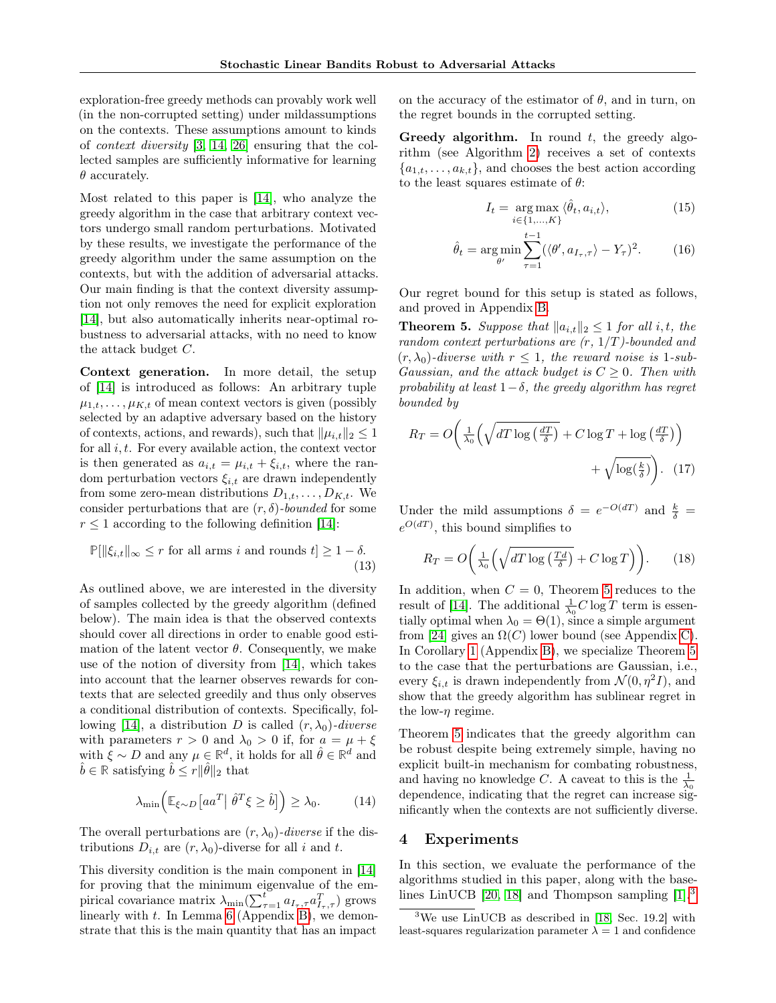exploration-free greedy methods can provably work well (in the non-corrupted setting) under mildassumptions on the contexts. These assumptions amount to kinds of context diversity [\[3,](#page-8-13) [14,](#page-8-9) [26\]](#page-9-3) ensuring that the collected samples are sufficiently informative for learning  $\theta$  accurately.

Most related to this paper is [\[14\]](#page-8-9), who analyze the greedy algorithm in the case that arbitrary context vectors undergo small random perturbations. Motivated by these results, we investigate the performance of the greedy algorithm under the same assumption on the contexts, but with the addition of adversarial attacks. Our main finding is that the context diversity assumption not only removes the need for explicit exploration [\[14\]](#page-8-9), but also automatically inherits near-optimal robustness to adversarial attacks, with no need to know the attack budget C.

Context generation. In more detail, the setup of [\[14\]](#page-8-9) is introduced as follows: An arbitrary tuple  $\mu_{1,t}, \ldots, \mu_{K,t}$  of mean context vectors is given (possibly selected by an adaptive adversary based on the history of contexts, actions, and rewards), such that  $\|\mu_{i,t}\|_2 \leq 1$ for all  $i, t$ . For every available action, the context vector is then generated as  $a_{i,t} = \mu_{i,t} + \xi_{i,t}$ , where the random perturbation vectors  $\xi_{i,t}$  are drawn independently from some zero-mean distributions  $D_{1,t}, \ldots, D_{K,t}$ . We consider perturbations that are  $(r, \delta)$ -bounded for some  $r \leq 1$  according to the following definition [\[14\]](#page-8-9):

$$
\mathbb{P}[\|\xi_{i,t}\|_{\infty} \le r \text{ for all arms } i \text{ and rounds } t] \ge 1 - \delta.
$$
\n(13)

As outlined above, we are interested in the diversity of samples collected by the greedy algorithm (defined below). The main idea is that the observed contexts should cover all directions in order to enable good estimation of the latent vector  $\theta$ . Consequently, we make use of the notion of diversity from [\[14\]](#page-8-9), which takes into account that the learner observes rewards for contexts that are selected greedily and thus only observes a conditional distribution of contexts. Specifically, fol-lowing [\[14\]](#page-8-9), a distribution D is called  $(r, \lambda_0)$ -diverse with parameters  $r > 0$  and  $\lambda_0 > 0$  if, for  $a = \mu + \xi$ with  $\xi \sim D$  and any  $\mu \in \mathbb{R}^d$ , it holds for all  $\hat{\theta} \in \mathbb{R}^d$  and  $\hat{b} \in \mathbb{R}$  satisfying  $\hat{b} \leq r \|\hat{\theta}\|_2$  that

<span id="page-5-4"></span>
$$
\lambda_{\min}\Big(\mathbb{E}_{\xi \sim D} \left[ a a^T \middle| \hat{\theta}^T \xi \ge \hat{b} \right] \Big) \ge \lambda_0. \tag{14}
$$

The overall perturbations are  $(r, \lambda_0)$ -diverse if the distributions  $D_{i,t}$  are  $(r, \lambda_0)$ -diverse for all i and t.

This diversity condition is the main component in [\[14\]](#page-8-9) for proving that the minimum eigenvalue of the empirical covariance matrix  $\lambda_{\min}(\sum_{\tau=1}^{t} a_{I_{\tau},\tau} a_{I_{\tau},\tau}^T)$  grows linearly with  $t$ . In Lemma [6](#page-17-0) (Appendix [B\)](#page-17-1), we demonstrate that this is the main quantity that has an impact on the accuracy of the estimator of  $\theta$ , and in turn, on the regret bounds in the corrupted setting.

Greedy algorithm. In round  $t$ , the greedy algorithm (see Algorithm [2\)](#page-17-2) receives a set of contexts  ${a_{1,t}, \ldots, a_{k,t}}$ , and chooses the best action according to the least squares estimate of  $\theta$ :

<span id="page-5-2"></span>
$$
I_t = \underset{i \in \{1, \dots, K\}}{\arg \max} \langle \hat{\theta}_t, a_{i,t} \rangle,
$$
\n(15)

$$
\hat{\theta}_t = \underset{\theta'}{\arg \min} \sum_{\tau=1}^{t-1} (\langle \theta', a_{I_\tau, \tau} \rangle - Y_\tau)^2.
$$
 (16)

Our regret bound for this setup is stated as follows, and proved in Appendix [B.](#page-17-1)

<span id="page-5-0"></span>**Theorem 5.** Suppose that  $||a_{i,t}||_2 \leq 1$  for all i, t, the random context perturbations are  $(r, 1/T)$ -bounded and  $(r, \lambda_0)$ -diverse with  $r \leq 1$ , the reward noise is 1-sub-Gaussian, and the attack budget is  $C \geq 0$ . Then with probability at least  $1-\delta$ , the greedy algorithm has regret bounded by

$$
R_T = O\left(\frac{1}{\lambda_0} \left(\sqrt{dT \log\left(\frac{dT}{\delta}\right)} + C \log T + \log\left(\frac{dT}{\delta}\right)\right) + \sqrt{\log\left(\frac{k}{\delta}\right)}\right). \tag{17}
$$

Under the mild assumptions  $\delta = e^{-O(dT)}$  and  $\frac{k}{\delta} =$  $e^{O(dT)}$ , this bound simplifies to

<span id="page-5-3"></span>
$$
R_T = O\left(\frac{1}{\lambda_0} \left(\sqrt{dT \log\left(\frac{Td}{\delta}\right)} + C \log T\right)\right). \tag{18}
$$

In addition, when  $C = 0$ , Theorem [5](#page-5-0) reduces to the result of [\[14\]](#page-8-9). The additional  $\frac{1}{\lambda_0} C \log T$  term is essentially optimal when  $\lambda_0 = \Theta(1)$ , since a simple argument from [\[24\]](#page-8-2) gives an  $\Omega(C)$  lower bound (see Appendix [C\)](#page-19-0). In Corollary [1](#page-18-0) (Appendix [B\)](#page-17-1), we specialize Theorem [5](#page-5-0) to the case that the perturbations are Gaussian, i.e., every  $\xi_{i,t}$  is drawn independently from  $\mathcal{N}(0, \eta^2 I)$ , and show that the greedy algorithm has sublinear regret in the low- $\eta$  regime.

Theorem [5](#page-5-0) indicates that the greedy algorithm can be robust despite being extremely simple, having no explicit built-in mechanism for combating robustness, and having no knowledge C. A caveat to this is the  $\frac{1}{\lambda_0}$ dependence, indicating that the regret can increase significantly when the contexts are not sufficiently diverse.

## 4 Experiments

In this section, we evaluate the performance of the algorithms studied in this paper, along with the baselines LinUCB [\[20,](#page-8-14) [18\]](#page-8-0) and Thompson sampling [\[1\]](#page-8-15).[3](#page-5-1)

<span id="page-5-1"></span><sup>3</sup>We use LinUCB as described in [\[18,](#page-8-0) Sec. 19.2] with least-squares regularization parameter  $\lambda = 1$  and confidence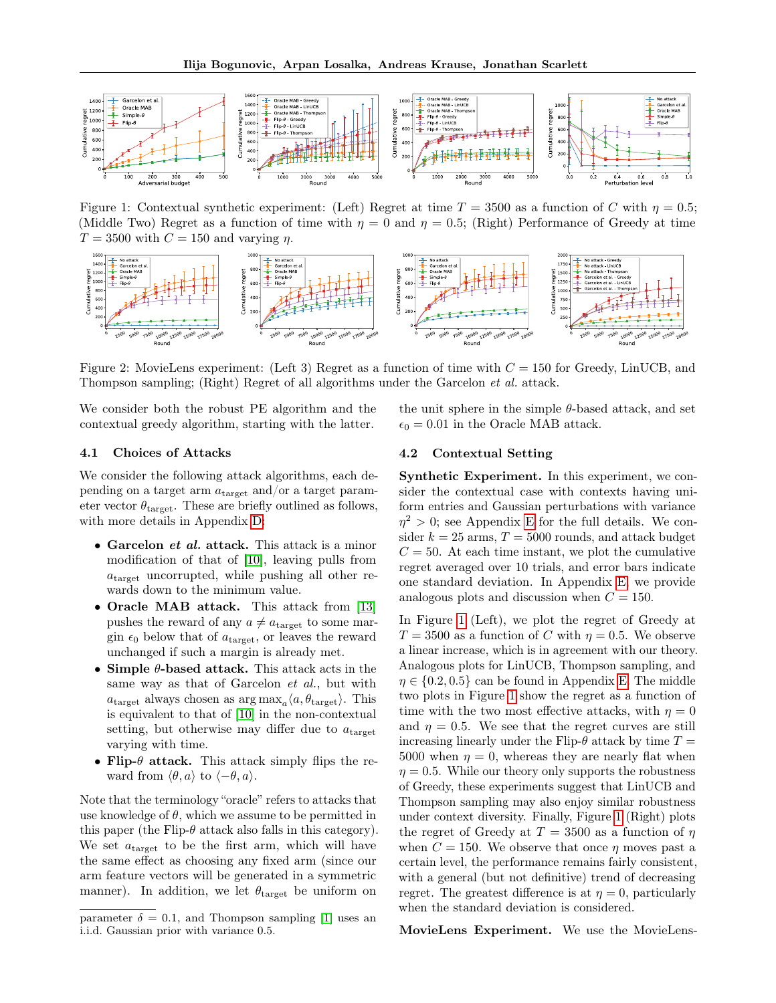<span id="page-6-0"></span>

Figure 1: Contextual synthetic experiment: (Left) Regret at time  $T = 3500$  as a function of C with  $\eta = 0.5$ ; (Middle Two) Regret as a function of time with  $\eta = 0$  and  $\eta = 0.5$ ; (Right) Performance of Greedy at time  $T = 3500$  with  $C = 150$  and varying  $\eta$ .

<span id="page-6-1"></span>

Figure 2: MovieLens experiment: (Left 3) Regret as a function of time with  $C = 150$  for Greedy, LinUCB, and Thompson sampling; (Right) Regret of all algorithms under the Garcelon et al. attack.

We consider both the robust PE algorithm and the contextual greedy algorithm, starting with the latter.

#### <span id="page-6-2"></span>4.1 Choices of Attacks

We consider the following attack algorithms, each depending on a target arm  $a_{\text{target}}$  and/or a target parameter vector  $\theta_{\text{target}}$ . These are briefly outlined as follows, with more details in Appendix [D:](#page-20-0)

- Garcelon et al. attack. This attack is a minor modification of that of [\[10\]](#page-8-5), leaving pulls from  $a<sub>target</sub>$  uncorrupted, while pushing all other rewards down to the minimum value.
- Oracle MAB attack. This attack from [\[13\]](#page-8-6) pushes the reward of any  $a \neq a$ <sub>target</sub> to some margin  $\epsilon_0$  below that of  $a_{\text{target}}$ , or leaves the reward unchanged if such a margin is already met.
- Simple  $\theta$ -based attack. This attack acts in the same way as that of Garcelon *et al.*, but with  $a_{\text{target}}$  always chosen as  $\arg \max_a \langle a, \theta_{\text{target}} \rangle$ . This is equivalent to that of [\[10\]](#page-8-5) in the non-contextual setting, but otherwise may differ due to  $a_{\text{target}}$ varying with time.
- Flip- $\theta$  attack. This attack simply flips the reward from  $\langle \theta, a \rangle$  to  $\langle -\theta, a \rangle$ .

Note that the terminology "oracle" refers to attacks that use knowledge of  $\theta$ , which we assume to be permitted in this paper (the Flip- $\theta$  attack also falls in this category). We set  $a<sub>target</sub>$  to be the first arm, which will have the same effect as choosing any fixed arm (since our arm feature vectors will be generated in a symmetric manner). In addition, we let  $\theta_{\text{target}}$  be uniform on

the unit sphere in the simple  $\theta$ -based attack, and set  $\epsilon_0 = 0.01$  in the Oracle MAB attack.

#### <span id="page-6-3"></span>4.2 Contextual Setting

Synthetic Experiment. In this experiment, we consider the contextual case with contexts having uniform entries and Gaussian perturbations with variance  $\eta^2 > 0$ ; see Appendix [E](#page-21-0) for the full details. We consider  $k = 25$  arms,  $T = 5000$  rounds, and attack budget  $C = 50$ . At each time instant, we plot the cumulative regret averaged over 10 trials, and error bars indicate one standard deviation. In Appendix [E,](#page-21-0) we provide analogous plots and discussion when  $C = 150$ .

In Figure [1](#page-6-0) (Left), we plot the regret of Greedy at  $T = 3500$  as a function of C with  $\eta = 0.5$ . We observe a linear increase, which is in agreement with our theory. Analogous plots for LinUCB, Thompson sampling, and  $\eta \in \{0.2, 0.5\}$  can be found in Appendix [E.](#page-21-0) The middle two plots in Figure [1](#page-6-0) show the regret as a function of time with the two most effective attacks, with  $\eta = 0$ and  $\eta = 0.5$ . We see that the regret curves are still increasing linearly under the Flip- $\theta$  attack by time  $T =$ 5000 when  $\eta = 0$ , whereas they are nearly flat when  $\eta = 0.5$ . While our theory only supports the robustness of Greedy, these experiments suggest that LinUCB and Thompson sampling may also enjoy similar robustness under context diversity. Finally, Figure [1](#page-6-0) (Right) plots the regret of Greedy at  $T = 3500$  as a function of  $\eta$ when  $C = 150$ . We observe that once  $\eta$  moves past a certain level, the performance remains fairly consistent, with a general (but not definitive) trend of decreasing regret. The greatest difference is at  $\eta = 0$ , particularly when the standard deviation is considered.

MovieLens Experiment. We use the MovieLens-

parameter  $\delta = 0.1$ , and Thompson sampling [\[1\]](#page-8-15) uses an i.i.d. Gaussian prior with variance 0.5.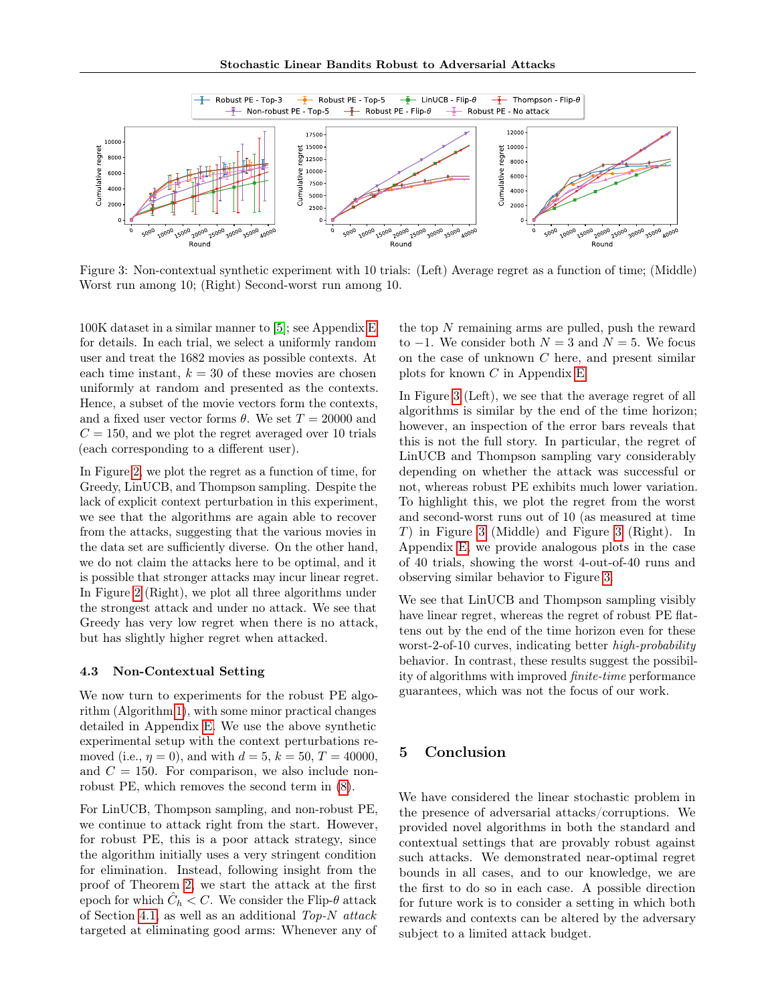<span id="page-7-0"></span>

Figure 3: Non-contextual synthetic experiment with 10 trials: (Left) Average regret as a function of time; (Middle) Worst run among 10; (Right) Second-worst run among 10.

100K dataset in a similar manner to [\[5\]](#page-8-16); see Appendix [E](#page-21-0) for details. In each trial, we select a uniformly random user and treat the 1682 movies as possible contexts. At each time instant,  $k = 30$  of these movies are chosen uniformly at random and presented as the contexts. Hence, a subset of the movie vectors form the contexts, and a fixed user vector forms  $\theta$ . We set  $T = 20000$  and  $C = 150$ , and we plot the regret averaged over 10 trials (each corresponding to a different user).

In Figure [2,](#page-6-1) we plot the regret as a function of time, for Greedy, LinUCB, and Thompson sampling. Despite the lack of explicit context perturbation in this experiment, we see that the algorithms are again able to recover from the attacks, suggesting that the various movies in the data set are sufficiently diverse. On the other hand, we do not claim the attacks here to be optimal, and it is possible that stronger attacks may incur linear regret. In Figure [2](#page-6-1) (Right), we plot all three algorithms under the strongest attack and under no attack. We see that Greedy has very low regret when there is no attack, but has slightly higher regret when attacked.

#### <span id="page-7-1"></span>4.3 Non-Contextual Setting

We now turn to experiments for the robust PE algorithm (Algorithm [1\)](#page-3-1), with some minor practical changes detailed in Appendix [E.](#page-21-0) We use the above synthetic experimental setup with the context perturbations removed (i.e.,  $\eta = 0$ ), and with  $d = 5$ ,  $k = 50$ ,  $T = 40000$ , and  $C = 150$ . For comparison, we also include nonrobust PE, which removes the second term in [\(8\)](#page-3-3).

For LinUCB, Thompson sampling, and non-robust PE, we continue to attack right from the start. However, for robust PE, this is a poor attack strategy, since the algorithm initially uses a very stringent condition for elimination. Instead, following insight from the proof of Theorem [2,](#page-3-0) we start the attack at the first epoch for which  $\hat{C}_h < C$ . We consider the Flip- $\theta$  attack of Section [4.1,](#page-6-2) as well as an additional Top-N attack targeted at eliminating good arms: Whenever any of the top  $N$  remaining arms are pulled, push the reward to  $-1$ . We consider both  $N = 3$  and  $N = 5$ . We focus on the case of unknown C here, and present similar plots for known C in Appendix [E.](#page-21-0)

In Figure [3](#page-7-0) (Left), we see that the average regret of all algorithms is similar by the end of the time horizon; however, an inspection of the error bars reveals that this is not the full story. In particular, the regret of LinUCB and Thompson sampling vary considerably depending on whether the attack was successful or not, whereas robust PE exhibits much lower variation. To highlight this, we plot the regret from the worst and second-worst runs out of 10 (as measured at time T) in Figure [3](#page-7-0) (Middle) and Figure [3](#page-7-0) (Right). In Appendix [E,](#page-21-0) we provide analogous plots in the case of 40 trials, showing the worst 4-out-of-40 runs and observing similar behavior to Figure [3.](#page-7-0)

We see that  $LinUCB$  and Thompson sampling visibly have linear regret, whereas the regret of robust PE flattens out by the end of the time horizon even for these worst-2-of-10 curves, indicating better high-probability behavior. In contrast, these results suggest the possibility of algorithms with improved finite-time performance guarantees, which was not the focus of our work.

## 5 Conclusion

We have considered the linear stochastic problem in the presence of adversarial attacks/corruptions. We provided novel algorithms in both the standard and contextual settings that are provably robust against such attacks. We demonstrated near-optimal regret bounds in all cases, and to our knowledge, we are the first to do so in each case. A possible direction for future work is to consider a setting in which both rewards and contexts can be altered by the adversary subject to a limited attack budget.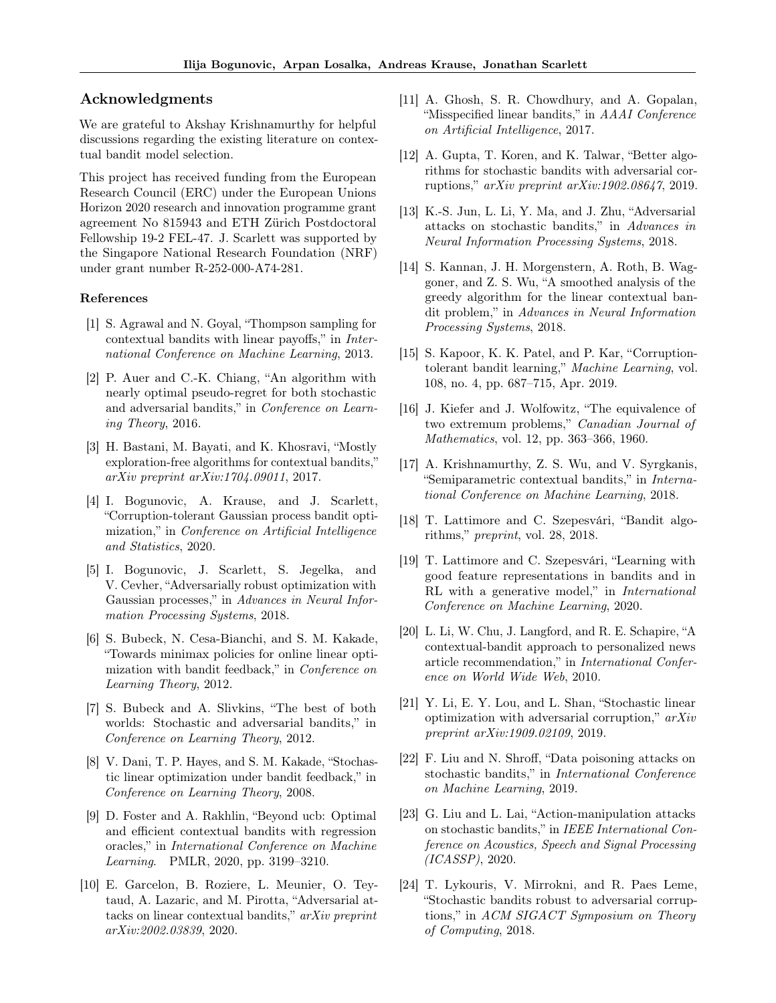## Acknowledgments

We are grateful to Akshay Krishnamurthy for helpful discussions regarding the existing literature on contextual bandit model selection.

This project has received funding from the European Research Council (ERC) under the European Unions Horizon 2020 research and innovation programme grant agreement No 815943 and ETH Zürich Postdoctoral Fellowship 19-2 FEL-47. J. Scarlett was supported by the Singapore National Research Foundation (NRF) under grant number R-252-000-A74-281.

#### References

- <span id="page-8-15"></span>[1] S. Agrawal and N. Goyal, "Thompson sampling for contextual bandits with linear payoffs," in International Conference on Machine Learning, 2013.
- <span id="page-8-19"></span>[2] P. Auer and C.-K. Chiang, "An algorithm with nearly optimal pseudo-regret for both stochastic and adversarial bandits," in Conference on Learning Theory, 2016.
- <span id="page-8-13"></span>[3] H. Bastani, M. Bayati, and K. Khosravi, "Mostly exploration-free algorithms for contextual bandits," arXiv preprint arXiv:1704.09011, 2017.
- <span id="page-8-3"></span>[4] I. Bogunovic, A. Krause, and J. Scarlett, "Corruption-tolerant Gaussian process bandit optimization," in Conference on Artificial Intelligence and Statistics, 2020.
- <span id="page-8-16"></span>[5] I. Bogunovic, J. Scarlett, S. Jegelka, and V. Cevher, "Adversarially robust optimization with Gaussian processes," in Advances in Neural Information Processing Systems, 2018.
- <span id="page-8-17"></span>[6] S. Bubeck, N. Cesa-Bianchi, and S. M. Kakade, "Towards minimax policies for online linear optimization with bandit feedback," in Conference on Learning Theory, 2012.
- <span id="page-8-18"></span>[7] S. Bubeck and A. Slivkins, "The best of both worlds: Stochastic and adversarial bandits," in Conference on Learning Theory, 2012.
- <span id="page-8-12"></span>[8] V. Dani, T. P. Hayes, and S. M. Kakade, "Stochastic linear optimization under bandit feedback," in Conference on Learning Theory, 2008.
- <span id="page-8-22"></span>[9] D. Foster and A. Rakhlin, "Beyond ucb: Optimal and efficient contextual bandits with regression oracles," in International Conference on Machine Learning. PMLR, 2020, pp. 3199–3210.
- <span id="page-8-5"></span>[10] E. Garcelon, B. Roziere, L. Meunier, O. Teytaud, A. Lazaric, and M. Pirotta, "Adversarial attacks on linear contextual bandits," arXiv preprint arXiv:2002.03839, 2020.
- <span id="page-8-20"></span>[11] A. Ghosh, S. R. Chowdhury, and A. Gopalan, "Misspecified linear bandits," in AAAI Conference on Artificial Intelligence, 2017.
- <span id="page-8-1"></span>[12] A. Gupta, T. Koren, and K. Talwar, "Better algorithms for stochastic bandits with adversarial corruptions," arXiv preprint arXiv:1902.08647, 2019.
- <span id="page-8-6"></span>[13] K.-S. Jun, L. Li, Y. Ma, and J. Zhu, "Adversarial attacks on stochastic bandits," in Advances in Neural Information Processing Systems, 2018.
- <span id="page-8-9"></span>[14] S. Kannan, J. H. Morgenstern, A. Roth, B. Waggoner, and Z. S. Wu, "A smoothed analysis of the greedy algorithm for the linear contextual bandit problem," in Advances in Neural Information Processing Systems, 2018.
- <span id="page-8-23"></span>[15] S. Kapoor, K. K. Patel, and P. Kar, "Corruptiontolerant bandit learning," Machine Learning, vol. 108, no. 4, pp. 687–715, Apr. 2019.
- <span id="page-8-11"></span>[16] J. Kiefer and J. Wolfowitz, "The equivalence of two extremum problems," Canadian Journal of Mathematics, vol. 12, pp. 363–366, 1960.
- <span id="page-8-21"></span>[17] A. Krishnamurthy, Z. S. Wu, and V. Syrgkanis, "Semiparametric contextual bandits," in International Conference on Machine Learning, 2018.
- <span id="page-8-0"></span>[18] T. Lattimore and C. Szepesvári, "Bandit algorithms," preprint, vol. 28, 2018.
- <span id="page-8-10"></span>[19] T. Lattimore and C. Szepesvári, "Learning with good feature representations in bandits and in RL with a generative model," in International Conference on Machine Learning, 2020.
- <span id="page-8-14"></span>[20] L. Li, W. Chu, J. Langford, and R. E. Schapire, "A contextual-bandit approach to personalized news article recommendation," in International Conference on World Wide Web, 2010.
- <span id="page-8-4"></span>[21] Y. Li, E. Y. Lou, and L. Shan, "Stochastic linear optimization with adversarial corruption," arXiv preprint arXiv:1909.02109, 2019.
- <span id="page-8-7"></span>[22] F. Liu and N. Shroff, "Data poisoning attacks on stochastic bandits," in International Conference on Machine Learning, 2019.
- <span id="page-8-8"></span>[23] G. Liu and L. Lai, "Action-manipulation attacks on stochastic bandits," in IEEE International Conference on Acoustics, Speech and Signal Processing (ICASSP), 2020.
- <span id="page-8-2"></span>[24] T. Lykouris, V. Mirrokni, and R. Paes Leme, "Stochastic bandits robust to adversarial corruptions," in ACM SIGACT Symposium on Theory of Computing, 2018.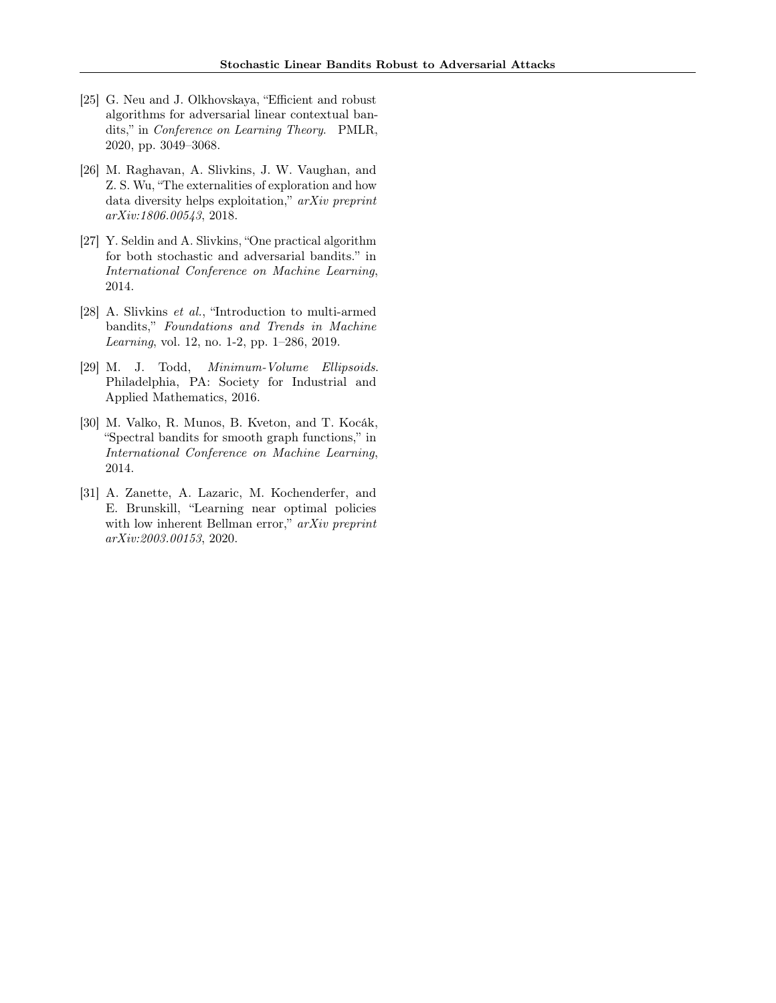- <span id="page-9-6"></span>[25] G. Neu and J. Olkhovskaya, "Efficient and robust algorithms for adversarial linear contextual bandits," in Conference on Learning Theory. PMLR, 2020, pp. 3049–3068.
- <span id="page-9-3"></span>[26] M. Raghavan, A. Slivkins, J. W. Vaughan, and Z. S. Wu, "The externalities of exploration and how data diversity helps exploitation," arXiv preprint arXiv:1806.00543, 2018.
- <span id="page-9-4"></span>[27] Y. Seldin and A. Slivkins, "One practical algorithm for both stochastic and adversarial bandits." in International Conference on Machine Learning, 2014.
- <span id="page-9-0"></span>[28] A. Slivkins et al., "Introduction to multi-armed bandits," Foundations and Trends in Machine Learning, vol. 12, no. 1-2, pp. 1–286, 2019.
- <span id="page-9-2"></span>[29] M. J. Todd, Minimum-Volume Ellipsoids. Philadelphia, PA: Society for Industrial and Applied Mathematics, 2016.
- <span id="page-9-1"></span>[30] M. Valko, R. Munos, B. Kveton, and T. Kocák, "Spectral bandits for smooth graph functions," in International Conference on Machine Learning, 2014.
- <span id="page-9-5"></span>[31] A. Zanette, A. Lazaric, M. Kochenderfer, and E. Brunskill, "Learning near optimal policies with low inherent Bellman error," arXiv preprint arXiv:2003.00153, 2020.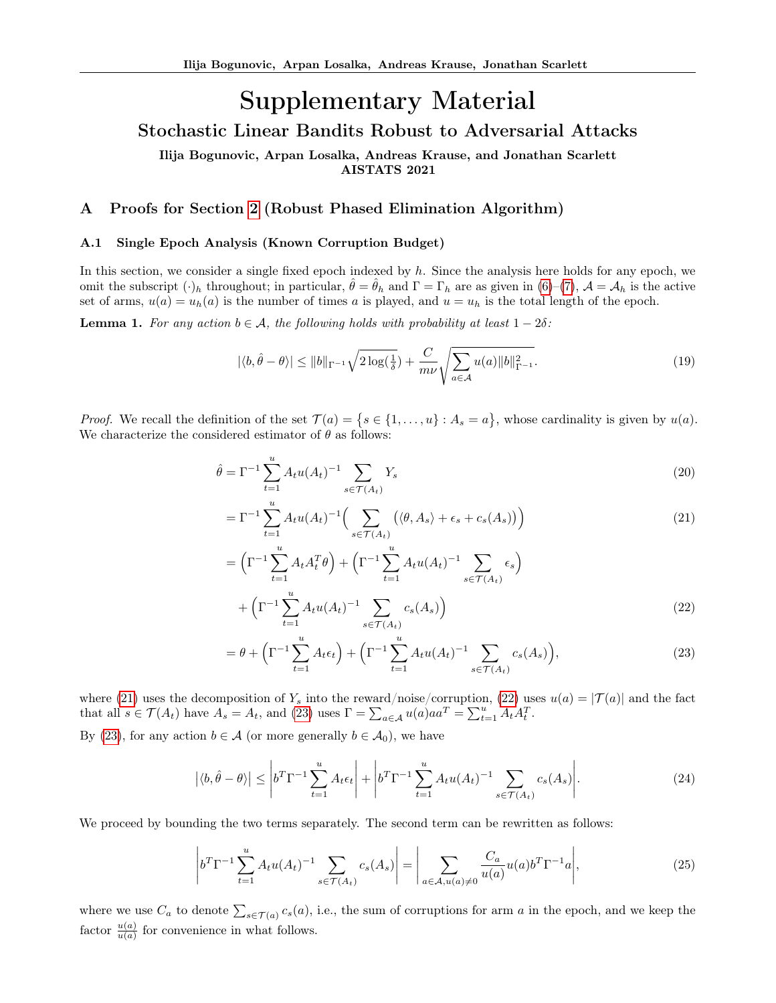# Supplementary Material Stochastic Linear Bandits Robust to Adversarial Attacks

Ilija Bogunovic, Arpan Losalka, Andreas Krause, and Jonathan Scarlett AISTATS 2021

## <span id="page-10-0"></span>A Proofs for Section [2](#page-2-5) (Robust Phased Elimination Algorithm)

#### A.1 Single Epoch Analysis (Known Corruption Budget)

In this section, we consider a single fixed epoch indexed by h. Since the analysis here holds for any epoch, we omit the subscript  $(\cdot)_h$  throughout; in particular,  $\hat{\theta} = \hat{\theta}_h$  and  $\Gamma = \Gamma_h$  are as given in  $(6)-(7)$  $(6)-(7)$  $(6)-(7)$ ,  $\mathcal{A} = \mathcal{A}_h$  is the active set of arms,  $u(a) = u_h(a)$  is the number of times a is played, and  $u = u_h$  is the total length of the epoch.

<span id="page-10-6"></span>**Lemma 1.** For any action  $b \in \mathcal{A}$ , the following holds with probability at least  $1 - 2\delta$ :

<span id="page-10-5"></span>
$$
|\langle b,\hat{\theta}-\theta\rangle| \le ||b||_{\Gamma^{-1}}\sqrt{2\log(\frac{1}{\delta})} + \frac{C}{m\nu}\sqrt{\sum_{a\in\mathcal{A}}u(a)||b||_{\Gamma^{-1}}^2}.
$$
 (19)

*Proof.* We recall the definition of the set  $\mathcal{T}(a) = \{s \in \{1, ..., u\} : A_s = a\}$ , whose cardinality is given by  $u(a)$ . We characterize the considered estimator of  $\theta$  as follows:

$$
\hat{\theta} = \Gamma^{-1} \sum_{t=1}^{u} A_t u(A_t)^{-1} \sum_{s \in \mathcal{T}(A_t)} Y_s
$$
\n(20)

<span id="page-10-1"></span>
$$
= \Gamma^{-1} \sum_{t=1}^{u} A_t u(A_t)^{-1} \Big( \sum_{s \in \mathcal{T}(A_t)} \big( \langle \theta, A_s \rangle + \epsilon_s + c_s(A_s) \big) \Big) \tag{21}
$$

$$
= \left(\Gamma^{-1} \sum_{t=1}^{u} A_t A_t^T \theta\right) + \left(\Gamma^{-1} \sum_{t=1}^{u} A_t u(A_t)^{-1} \sum_{s \in \mathcal{T}(A_t)} \epsilon_s\right) + \left(\Gamma^{-1} \sum_{t=1}^{u} A_t u(A_t)^{-1} \sum_{s \in \mathcal{T}(A_t)} c_s(A_s)\right)
$$
(22)

<span id="page-10-4"></span><span id="page-10-3"></span><span id="page-10-2"></span>
$$
= \theta + \left(\Gamma^{-1} \sum_{t=1}^{u} A_t \epsilon_t\right) + \left(\Gamma^{-1} \sum_{t=1}^{u} A_t u(A_t)^{-1} \sum_{s \in \mathcal{T}(A_t)} c_s(A_s)\right),\tag{23}
$$

where [\(21\)](#page-10-1) uses the decomposition of  $Y_s$  into the reward/noise/corruption, [\(22\)](#page-10-2) uses  $u(a) = |\mathcal{T}(a)|$  and the fact that all  $s \in \mathcal{T}(A_t)$  have  $A_s = A_t$ , and [\(23\)](#page-10-3) uses  $\Gamma = \sum_{a \in \mathcal{A}} u(a) a a^T = \sum_{t=1}^u A_t A_t^T$ .

By [\(23\)](#page-10-3), for any action  $b \in \mathcal{A}$  (or more generally  $b \in \mathcal{A}_0$ ), we have

$$
\left| \langle b, \hat{\theta} - \theta \rangle \right| \le \left| b^T \Gamma^{-1} \sum_{t=1}^u A_t \epsilon_t \right| + \left| b^T \Gamma^{-1} \sum_{t=1}^u A_t u(A_t)^{-1} \sum_{s \in \mathcal{T}(A_t)} c_s(A_s) \right|.
$$
 (24)

We proceed by bounding the two terms separately. The second term can be rewritten as follows:

$$
\left| b^T \Gamma^{-1} \sum_{t=1}^u A_t u(A_t)^{-1} \sum_{s \in \mathcal{T}(A_t)} c_s(A_s) \right| = \left| \sum_{a \in \mathcal{A}, u(a) \neq 0} \frac{C_a}{u(a)} u(a) b^T \Gamma^{-1} a \right|,
$$
\n(25)

where we use  $C_a$  to denote  $\sum_{s \in \mathcal{T}(a)} c_s(a)$ , i.e., the sum of corruptions for arm a in the epoch, and we keep the factor  $\frac{u(a)}{u(a)}$  for convenience in what follows.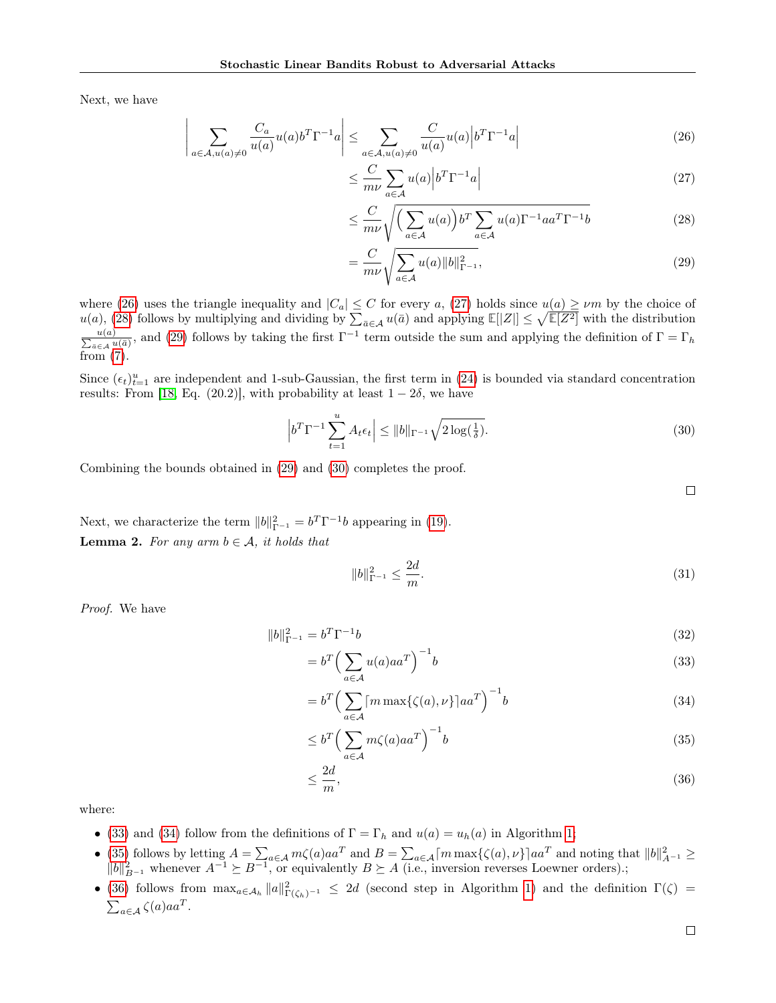Next, we have

$$
\left| \sum_{a \in \mathcal{A}, u(a) \neq 0} \frac{C_a}{u(a)} u(a) b^T \Gamma^{-1} a \right| \leq \sum_{a \in \mathcal{A}, u(a) \neq 0} \frac{C}{u(a)} u(a) \left| b^T \Gamma^{-1} a \right| \tag{26}
$$

<span id="page-11-0"></span>
$$
\leq \frac{C}{m\nu} \sum_{a \in \mathcal{A}} u(a) \Big| b^T \Gamma^{-1} a \Big| \tag{27}
$$

<span id="page-11-1"></span>
$$
\leq \frac{C}{m\nu} \sqrt{\left(\sum_{a \in \mathcal{A}} u(a)\right) b^T \sum_{a \in \mathcal{A}} u(a) \Gamma^{-1} a a^T \Gamma^{-1} b} \tag{28}
$$

$$
= \frac{C}{m\nu} \sqrt{\sum_{a \in \mathcal{A}} u(a) \|b\|_{\Gamma^{-1}}^2},\tag{29}
$$

where [\(26\)](#page-11-0) uses the triangle inequality and  $|C_a| \leq C$  for every a, [\(27\)](#page-11-1) holds since  $u(a) \geq \nu m$  by the choice of  $u(a)$ , [\(28\)](#page-11-2) follows by multiplying and dividing by  $\sum_{\bar{a}\in\mathcal{A}} u(\bar{a})$  and applying  $\mathbb{E}[|Z|] \leq \sqrt{\mathbb{E}[Z^2]}$  with the distribution  $\frac{u(a)}{\sum_{\bar{a}\in\mathcal{A}}u(\bar{a})}$ , and [\(29\)](#page-11-3) follows by taking the first  $\Gamma^{-1}$  term outside the sum and applying the definition of  $\Gamma=\Gamma_h$ from [\(7\)](#page-3-7).

≤

Since  $(\epsilon_t)_{t=1}^u$  are independent and 1-sub-Gaussian, the first term in [\(24\)](#page-10-4) is bounded via standard concentration results: From [\[18,](#page-8-0) Eq. (20.2)], with probability at least  $1-2\delta$ , we have

<span id="page-11-4"></span>
$$
\left|b^T \Gamma^{-1} \sum_{t=1}^u A_t \epsilon_t \right| \le ||b||_{\Gamma^{-1}} \sqrt{2 \log(\frac{1}{\delta})}.
$$
\n(30)

Combining the bounds obtained in [\(29\)](#page-11-3) and [\(30\)](#page-11-4) completes the proof.

<span id="page-11-8"></span><span id="page-11-7"></span><span id="page-11-6"></span><span id="page-11-5"></span><span id="page-11-3"></span><span id="page-11-2"></span> $\Box$ 

<span id="page-11-9"></span>Next, we characterize the term  $||b||_{\Gamma^{-1}}^2 = b^T \Gamma^{-1} b$  appearing in [\(19\)](#page-10-5). **Lemma 2.** For any arm  $b \in \mathcal{A}$ , it holds that

$$
||b||_{\Gamma^{-1}}^2 \le \frac{2d}{m}.\tag{31}
$$

Proof. We have

$$
||b||_{\Gamma^{-1}}^2 = b^T \Gamma^{-1} b \tag{32}
$$

$$
=b^T \left(\sum_{a\in\mathcal{A}} u(a)aa^T\right)^{-1}b\tag{33}
$$

$$
=b^T \Big(\sum_{a \in \mathcal{A}} \lceil m \max\{\zeta(a), \nu\}\rceil a a^T\Big)^{-1} b \tag{34}
$$

$$
\leq b^T \Big(\sum_{a \in \mathcal{A}} m\zeta(a)aa^T\Big)^{-1}b\tag{35}
$$

$$
\leq \frac{2d}{m},\tag{36}
$$

where:

- [\(33\)](#page-11-5) and [\(34\)](#page-11-6) follow from the definitions of  $\Gamma = \Gamma_h$  and  $u(a) = u_h(a)$  in Algorithm [1;](#page-3-1)
- [\(35\)](#page-11-7) follows by letting  $A = \sum_{a \in \mathcal{A}} m \zeta(a) a a^T$  and  $B = \sum_{a \in \mathcal{A}} [m \max{\{\zeta(a), \nu\}}] a a^T$  and noting that  $||b||_{A^{-1}}^2 \ge$  $||b||_{B^{-1}}^2$  whenever  $A^{-1} \succeq B^{-1}$ , or equivalently  $B \succeq A$  (i.e., inversion reverses Loewner orders).;
- [\(36\)](#page-11-8) follows from  $\max_{a \in A_h} ||a||^2_{\Gamma(\zeta_h)^{-1}} \leq 2d$  (second step in Algorithm [1\)](#page-3-1) and the definition  $\Gamma(\zeta) =$  $\sum_{a \in \mathcal{A}} \zeta(a) a a^T.$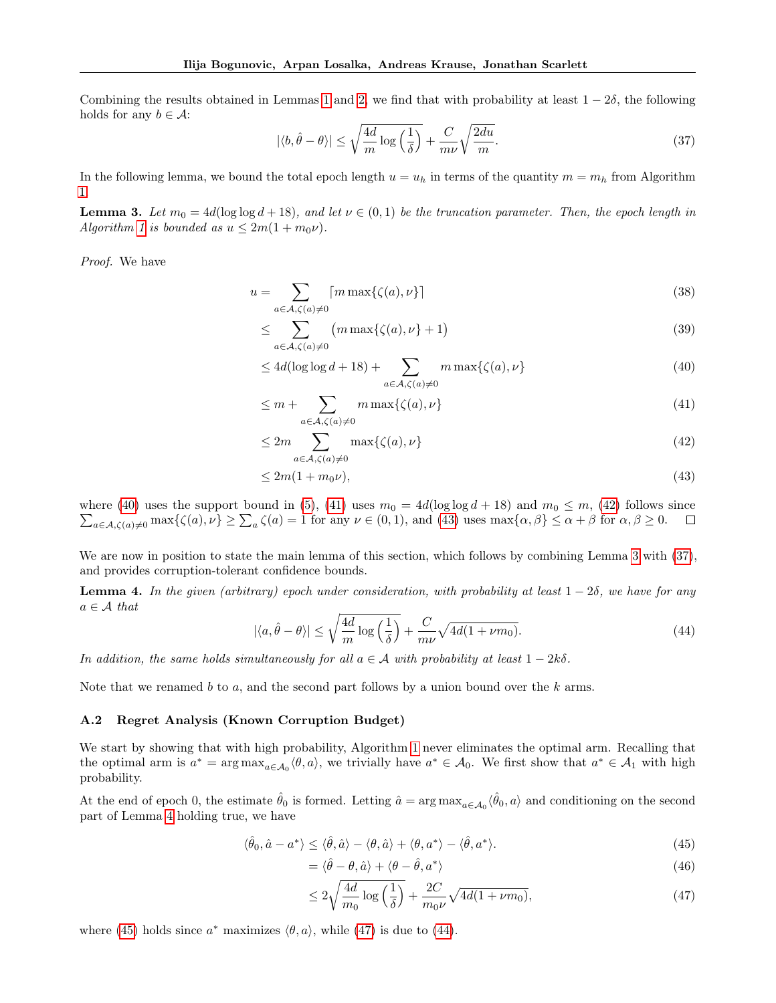Combining the results obtained in Lemmas [1](#page-10-6) and [2,](#page-11-9) we find that with probability at least  $1 - 2\delta$ , the following holds for any  $b \in \mathcal{A}$ :

<span id="page-12-7"></span>
$$
|\langle b, \hat{\theta} - \theta \rangle| \le \sqrt{\frac{4d}{m} \log\left(\frac{1}{\delta}\right)} + \frac{C}{m\nu} \sqrt{\frac{2du}{m}}.
$$
\n(37)

In the following lemma, we bound the total epoch length  $u = u_h$  in terms of the quantity  $m = m_h$  from Algorithm [1.](#page-3-1)

<span id="page-12-6"></span>**Lemma 3.** Let  $m_0 = 4d(\log \log d + 18)$ , and let  $\nu \in (0,1)$  be the truncation parameter. Then, the epoch length in Algorithm [1](#page-3-1) is bounded as  $u \leq 2m(1 + m_0 \nu)$ .

Proof. We have

$$
u = \sum_{a \in \mathcal{A}, \zeta(a) \neq 0} \lceil m \max \{ \zeta(a), \nu \} \rceil \tag{38}
$$

$$
\leq \sum_{a \in \mathcal{A}, \zeta(a) \neq 0} \left( m \max \{ \zeta(a), \nu \} + 1 \right) \tag{39}
$$

<span id="page-12-2"></span>
$$
\leq 4d(\log \log d + 18) + \sum_{a \in \mathcal{A}, \zeta(a) \neq 0} m \max\{\zeta(a), \nu\} \tag{40}
$$

<span id="page-12-3"></span>
$$
\leq m + \sum_{a \in \mathcal{A}, \zeta(a) \neq 0} m \max\{\zeta(a), \nu\} \tag{41}
$$

<span id="page-12-4"></span>
$$
\leq 2m \sum_{a \in \mathcal{A}, \zeta(a) \neq 0} \max \{ \zeta(a), \nu \} \tag{42}
$$

<span id="page-12-5"></span>
$$
\leq 2m(1+m_0\nu),\tag{43}
$$

where [\(40\)](#page-12-2) uses the support bound in [\(5\)](#page-3-8), [\(41\)](#page-12-3) uses  $m_0 = 4d(\log \log d + 18)$  and  $m_0 \le m$ , [\(42\)](#page-12-4) follows since  $\sum_{a\in\mathcal{A},\zeta(a)\neq 0} \max\{\zeta(a),\nu\}\geq \sum_{a}\zeta(a)=1$  for any  $\nu\in(0,1)$ , and [\(43\)](#page-12-5) uses  $\max\{\alpha,\beta\}\leq \alpha+\beta$  for  $\alpha,\beta\geq 0$ .

We are now in position to state the main lemma of this section, which follows by combining Lemma [3](#page-12-6) with  $(37)$ , and provides corruption-tolerant confidence bounds.

<span id="page-12-0"></span>**Lemma 4.** In the given (arbitrary) epoch under consideration, with probability at least  $1 - 2\delta$ , we have for any  $a \in \mathcal{A}$  that

<span id="page-12-10"></span>
$$
|\langle a,\hat{\theta}-\theta\rangle| \le \sqrt{\frac{4d}{m}\log\left(\frac{1}{\delta}\right)} + \frac{C}{m\nu}\sqrt{4d(1+\nu m_0)}.
$$
\n(44)

In addition, the same holds simultaneously for all  $a \in \mathcal{A}$  with probability at least  $1 - 2k\delta$ .

Note that we renamed b to a, and the second part follows by a union bound over the  $k$  arms.

#### <span id="page-12-1"></span>A.2 Regret Analysis (Known Corruption Budget)

We start by showing that with high probability, Algorithm [1](#page-3-1) never eliminates the optimal arm. Recalling that the optimal arm is  $a^* = \arg \max_{a \in A_0} \langle \theta, a \rangle$ , we trivially have  $a^* \in A_0$ . We first show that  $a^* \in A_1$  with high probability.

At the end of epoch 0, the estimate  $\hat{\theta}_0$  is formed. Letting  $\hat{a} = \arg \max_{a \in A_0} \langle \hat{\theta}_0, a \rangle$  and conditioning on the second part of Lemma [4](#page-12-0) holding true, we have

$$
\langle \hat{\theta}_0, \hat{a} - a^* \rangle \le \langle \hat{\theta}, \hat{a} \rangle - \langle \theta, \hat{a} \rangle + \langle \theta, a^* \rangle - \langle \hat{\theta}, a^* \rangle. \tag{45}
$$

<span id="page-12-9"></span><span id="page-12-8"></span>
$$
= \langle \hat{\theta} - \theta, \hat{a} \rangle + \langle \theta - \hat{\theta}, a^* \rangle \tag{46}
$$

$$
\leq 2\sqrt{\frac{4d}{m_0}\log\left(\frac{1}{\delta}\right)} + \frac{2C}{m_0\nu}\sqrt{4d(1+\nu m_0)},\tag{47}
$$

where [\(45\)](#page-12-8) holds since  $a^*$  maximizes  $\langle \theta, a \rangle$ , while [\(47\)](#page-12-9) is due to [\(44\)](#page-12-10).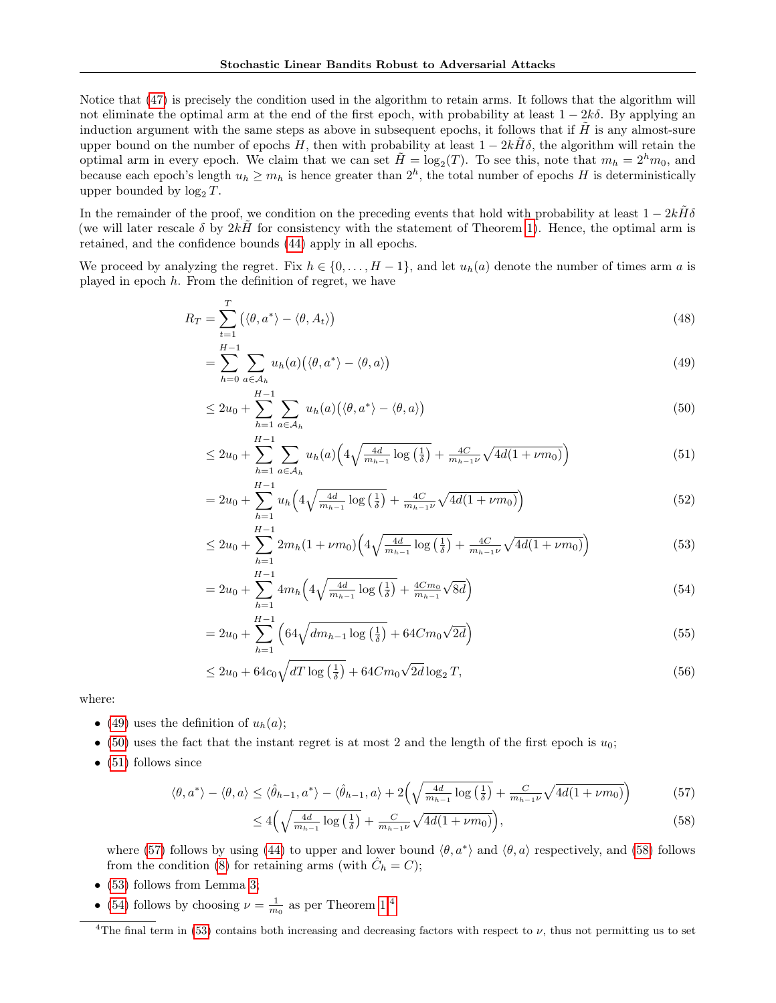Notice that [\(47\)](#page-12-9) is precisely the condition used in the algorithm to retain arms. It follows that the algorithm will not eliminate the optimal arm at the end of the first epoch, with probability at least  $1 - 2k\delta$ . By applying an induction argument with the same steps as above in subsequent epochs, it follows that if  $\hat{H}$  is any almost-sure upper bound on the number of epochs H, then with probability at least  $1 - 2k\tilde{H}\delta$ , the algorithm will retain the optimal arm in every epoch. We claim that we can set  $\tilde{H} = \log_2(T)$ . To see this, note that  $m_h = 2^h m_0$ , and because each epoch's length  $u_h \geq m_h$  is hence greater than  $2^h$ , the total number of epochs H is deterministically upper bounded by  $\log_2 T$ .

In the remainder of the proof, we condition on the preceding events that hold with probability at least  $1 - 2k\tilde{H}\delta$ (we will later rescale  $\delta$  by  $2k\tilde{H}$  for consistency with the statement of Theorem [1\)](#page-3-5). Hence, the optimal arm is retained, and the confidence bounds [\(44\)](#page-12-10) apply in all epochs.

We proceed by analyzing the regret. Fix  $h \in \{0, \ldots, H-1\}$ , and let  $u_h(a)$  denote the number of times arm a is played in epoch  $h$ . From the definition of regret, we have

$$
R_T = \sum_{t=1}^T \left( \langle \theta, a^* \rangle - \langle \theta, A_t \rangle \right) \tag{48}
$$

<span id="page-13-10"></span><span id="page-13-0"></span>
$$
= \sum_{h=0}^{H-1} \sum_{a \in A_h} u_h(a) (\langle \theta, a^* \rangle - \langle \theta, a \rangle)
$$
\n(49)

<span id="page-13-1"></span>
$$
\leq 2u_0 + \sum_{h=1}^{H-1} \sum_{a \in \mathcal{A}_h} u_h(a) (\langle \theta, a^* \rangle - \langle \theta, a \rangle)
$$
\n(50)

<span id="page-13-2"></span>
$$
\leq 2u_0 + \sum_{h=1}^{H-1} \sum_{a \in A_h} u_h(a) \left( 4\sqrt{\frac{4d}{m_{h-1}} \log\left(\frac{1}{\delta}\right)} + \frac{4C}{m_{h-1}\nu} \sqrt{4d(1+\nu m_0)} \right) \tag{51}
$$

$$
=2u_0+\sum_{h=1}^{H-1}u_h\left(4\sqrt{\frac{4d}{m_{h-1}}\log\left(\frac{1}{\delta}\right)}+\frac{4C}{m_{h-1}\nu}\sqrt{4d(1+\nu m_0)}\right) \tag{52}
$$

<span id="page-13-5"></span>
$$
\leq 2u_0 + \sum_{h=1}^{H-1} 2m_h (1 + \nu m_0) \left( 4\sqrt{\frac{4d}{m_{h-1}} \log\left(\frac{1}{\delta}\right)} + \frac{4C}{m_{h-1}\nu} \sqrt{4d(1 + \nu m_0)} \right) \tag{53}
$$

<span id="page-13-6"></span>
$$
=2u_0+\sum_{h=1}^{H-1}4m_h\left(4\sqrt{\frac{4d}{m_{h-1}}\log\left(\frac{1}{\delta}\right)}+\frac{4Cm_0}{m_{h-1}}\sqrt{8d}\right)
$$
(54)

$$
=2u_0+\sum_{h=1}^{H-1}\left(64\sqrt{dm_{h-1}\log\left(\frac{1}{\delta}\right)}+64Cm_0\sqrt{2d}\right)
$$
\n(55)

$$
\leq 2u_0 + 64c_0\sqrt{dT\log\left(\frac{1}{\delta}\right)} + 64Cm_0\sqrt{2d}\log_2 T,\tag{56}
$$

where:

- [\(49\)](#page-13-0) uses the definition of  $u_h(a)$ ;
- [\(50\)](#page-13-1) uses the fact that the instant regret is at most 2 and the length of the first epoch is  $u_0$ ;
- $\bullet$  [\(51\)](#page-13-2) follows since

$$
\langle \theta, a^* \rangle - \langle \theta, a \rangle \le \langle \hat{\theta}_{h-1}, a^* \rangle - \langle \hat{\theta}_{h-1}, a \rangle + 2 \left( \sqrt{\frac{4d}{m_{h-1}} \log\left(\frac{1}{\delta}\right)} + \frac{C}{m_{h-1}\nu} \sqrt{4d(1+\nu m_0)} \right) \tag{57}
$$

<span id="page-13-9"></span><span id="page-13-8"></span><span id="page-13-4"></span><span id="page-13-3"></span>
$$
\leq 4\left(\sqrt{\frac{4d}{m_{h-1}}\log\left(\frac{1}{\delta}\right)} + \frac{C}{m_{h-1}\nu}\sqrt{4d(1+\nu m_0)}\right),\tag{58}
$$

where [\(57\)](#page-13-3) follows by using [\(44\)](#page-12-10) to upper and lower bound  $\langle \theta, a^* \rangle$  and  $\langle \theta, a \rangle$  respectively, and [\(58\)](#page-13-4) follows from the condition [\(8\)](#page-3-3) for retaining arms (with  $\hat{C}_h = C$ );

- [\(53\)](#page-13-5) follows from Lemma [3;](#page-12-6)
- [\(54\)](#page-13-6) follows by choosing  $\nu = \frac{1}{m_0}$  as per Theorem [1;](#page-3-5)<sup>[4](#page-13-7)</sup>

<span id="page-13-7"></span><sup>&</sup>lt;sup>4</sup>The final term in [\(53\)](#page-13-5) contains both increasing and decreasing factors with respect to  $\nu$ , thus not permitting us to set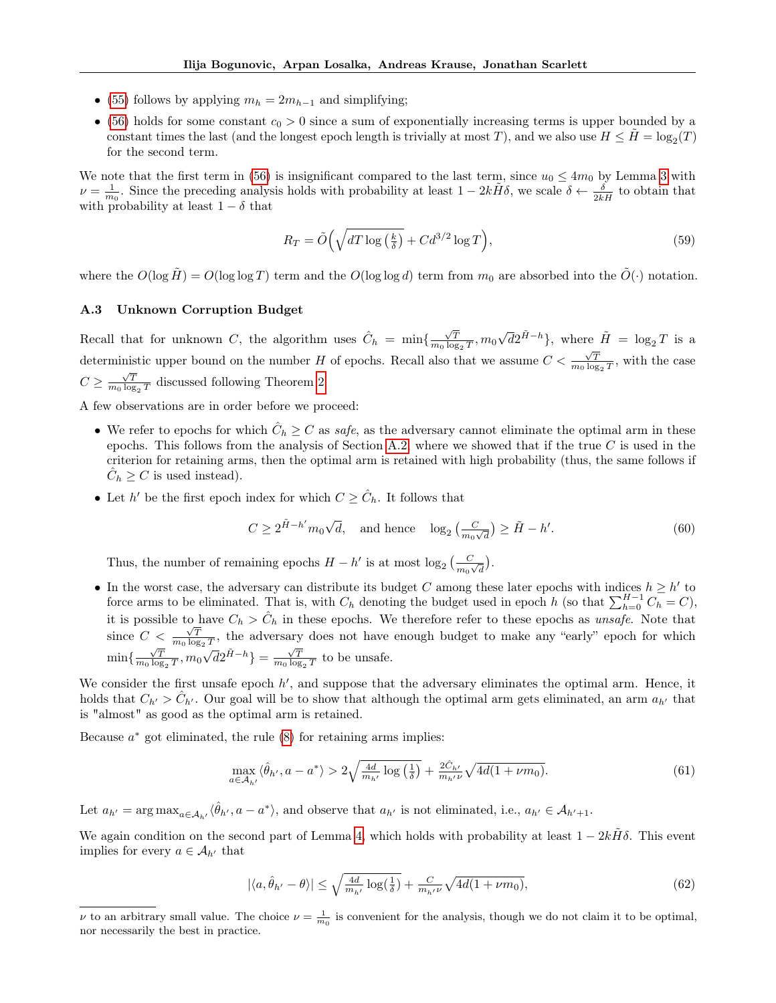- [\(55\)](#page-13-8) follows by applying  $m_h = 2m_{h-1}$  and simplifying;
- [\(56\)](#page-13-9) holds for some constant  $c_0 > 0$  since a sum of exponentially increasing terms is upper bounded by a constant times the last (and the longest epoch length is trivially at most T), and we also use  $H \leq \tilde{H} = \log_2(T)$ for the second term.

We note that the first term in [\(56\)](#page-13-9) is insignificant compared to the last term, since  $u_0 \leq 4m_0$  by Lemma [3](#page-12-6) with  $\nu = \frac{1}{m_0}$ . Since the preceding analysis holds with probability at least  $1 - 2k\tilde{H}\delta$ , we scale  $\delta \leftarrow \frac{\delta}{2k\tilde{H}}$  to obtain that with probability at least  $1 - \delta$  that

$$
R_T = \tilde{O}\left(\sqrt{dT \log\left(\frac{k}{\delta}\right)} + C d^{3/2} \log T\right),\tag{59}
$$

where the  $O(\log \hat{H}) = O(\log \log T)$  term and the  $O(\log \log d)$  term from  $m_0$  are absorbed into the  $O(\cdot)$  notation.

#### A.3 Unknown Corruption Budget

Recall that for unknown C, the algorithm uses  $\hat{C}_h = \min\{\frac{\sqrt{T}}{m_0 \log_2 T}, m_0\}$ √  $\overline{d}2^{\tilde{H}-h}\},\,$  where  $\tilde{H}=\log_2 T$  is a deterministic upper bound on the number H of epochs. Recall also that we assume  $C < \frac{\sqrt{T}}{m_0 \log_2 T}$ , with the case  $C \ge \frac{\sqrt{T}}{m_0 \log_2 T}$  discussed following Theorem [2.](#page-3-0)

A few observations are in order before we proceed:

- We refer to epochs for which  $\hat{C}_h \geq C$  as safe, as the adversary cannot eliminate the optimal arm in these epochs. This follows from the analysis of Section [A.2,](#page-12-1) where we showed that if the true  $C$  is used in the criterion for retaining arms, then the optimal arm is retained with high probability (thus, the same follows if  $\hat{C}_h \geq C$  is used instead).
- Let  $h'$  be the first epoch index for which  $C \geq \hat{C}_h$ . It follows that

<span id="page-14-1"></span>
$$
C \ge 2^{\tilde{H}-h'} m_0 \sqrt{d}, \quad \text{and hence} \quad \log_2\left(\frac{C}{m_0 \sqrt{d}}\right) \ge \tilde{H}-h'.
$$
 (60)

Thus, the number of remaining epochs  $H - h'$  is at most  $\log_2\left(\frac{C}{m_0\sqrt{d}}\right)$ .

• In the worst case, the adversary can distribute its budget C among these later epochs with indices  $h \geq h'$  to force arms to be eliminated. That is, with  $C_h$  denoting the budget used in epoch h (so that  $\sum_{h=0}^{H-1} C_h = C$ ), it is possible to have  $C_h > \hat{C}_h$  in these epochs. We therefore refer to these epochs as unsafe. Note that since  $C < \frac{\sqrt{T}}{m_0 \log_2 T}$ , the adversary does not have enough budget to make any "early" epoch for which  $\min\{\frac{\sqrt{T}}{m_0 \log_2 T}, m_0\sqrt{d}2^{\tilde{H}-h}\} = \frac{\sqrt{T}}{m_0 \log_2 T}$  to be unsafe.

We consider the first unsafe epoch  $h'$ , and suppose that the adversary eliminates the optimal arm. Hence, it holds that  $C_{h'} > \hat{C}_{h'}$ . Our goal will be to show that although the optimal arm gets eliminated, an arm  $a_{h'}$  that is "almost" as good as the optimal arm is retained.

Because  $a^*$  got eliminated, the rule  $(8)$  for retaining arms implies:

<span id="page-14-0"></span>
$$
\max_{a \in \mathcal{A}_{h'}} \langle \hat{\theta}_{h'}, a - a^* \rangle > 2 \sqrt{\frac{4d}{m_{h'}} \log\left(\frac{1}{\delta}\right)} + \frac{2\hat{C}_{h'}}{m_{h'}\nu} \sqrt{4d(1+\nu m_0)}.
$$
(61)

Let  $a_{h'} = \arg \max_{a \in A_{h'} } \langle \hat{\theta}_{h'}, a - a^* \rangle$ , and observe that  $a_{h'}$  is not eliminated, i.e.,  $a_{h'} \in A_{h'+1}$ .

We again condition on the second part of Lemma [4,](#page-12-0) which holds with probability at least  $1 - 2k\tilde{H}\delta$ . This event implies for every  $a \in A_{h'}$  that

$$
|\langle a,\hat{\theta}_{h'}-\theta\rangle| \le \sqrt{\frac{4d}{m_{h'}}\log(\frac{1}{\delta})} + \frac{C}{m_{h'}\nu}\sqrt{4d(1+\nu m_0)},\tag{62}
$$

*v* to an arbitrary small value. The choice  $\nu = \frac{1}{m_0}$  is convenient for the analysis, though we do not claim it to be optimal, nor necessarily the best in practice.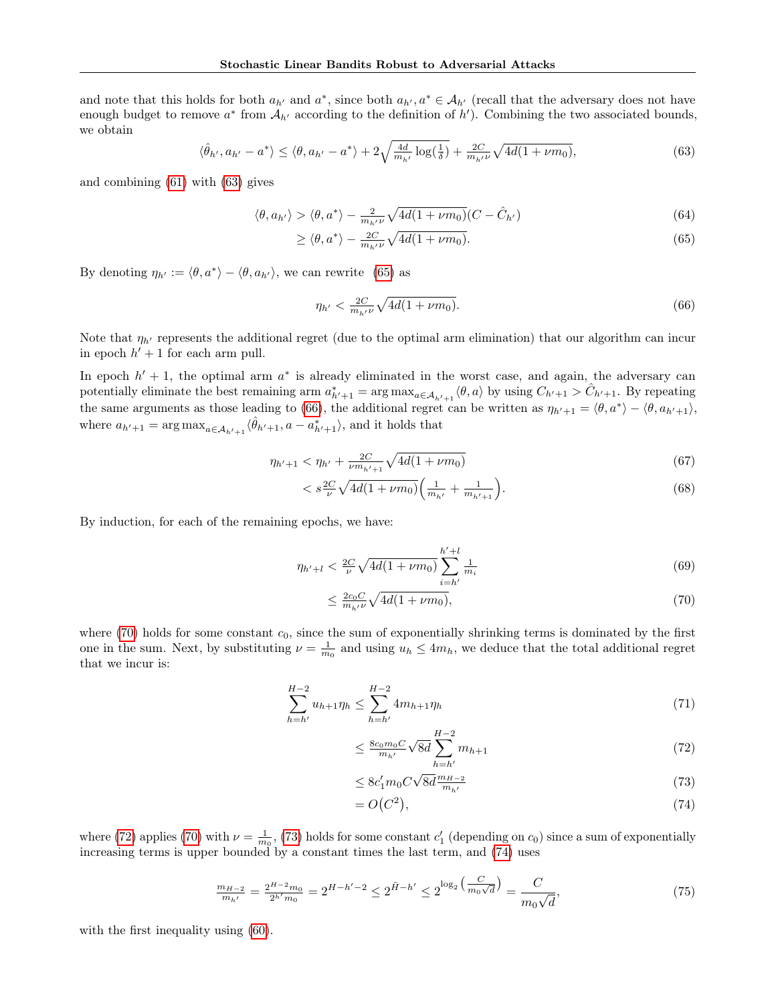and note that this holds for both  $a_{h'}$  and  $a^*$ , since both  $a_{h'}, a^* \in A_{h'}$  (recall that the adversary does not have enough budget to remove  $a^*$  from  $A_{h'}$  according to the definition of  $h'$ ). Combining the two associated bounds, we obtain

<span id="page-15-0"></span>
$$
\langle \hat{\theta}_{h'}, a_{h'} - a^* \rangle \le \langle \theta, a_{h'} - a^* \rangle + 2\sqrt{\frac{4d}{m_{h'}} \log(\frac{1}{\delta})} + \frac{2C}{m_{h'}\nu} \sqrt{4d(1+\nu m_0)},\tag{63}
$$

and combining [\(61\)](#page-14-0) with [\(63\)](#page-15-0) gives

$$
\langle \theta, a_{h'} \rangle > \langle \theta, a^* \rangle - \frac{2}{m_{h'} \nu} \sqrt{4d(1 + \nu m_0)} (C - \hat{C}_{h'}) \tag{64}
$$

$$
\geq \langle \theta, a^* \rangle - \frac{2C}{m_{h'}\nu} \sqrt{4d(1 + \nu m_0)}.
$$
\n(65)

By denoting  $\eta_{h'} := \langle \theta, a^* \rangle - \langle \theta, a_{h'} \rangle$ , we can rewrite [\(65\)](#page-15-1) as

<span id="page-15-2"></span><span id="page-15-1"></span>
$$
\eta_{h'} < \frac{2C}{m_{h'}\nu} \sqrt{4d(1+\nu m_0)}.\tag{66}
$$

Note that  $\eta_{h'}$  represents the additional regret (due to the optimal arm elimination) that our algorithm can incur in epoch  $h' + 1$  for each arm pull.

In epoch  $h' + 1$ , the optimal arm  $a^*$  is already eliminated in the worst case, and again, the adversary can potentially eliminate the best remaining arm  $a_{h'+1}^* = \arg \max_{a \in A_{h'+1}} \langle \theta, a \rangle$  by using  $C_{h'+1} > C_{h'+1}$ . By repeating the same arguments as those leading to [\(66\)](#page-15-2), the additional regret can be written as  $\eta_{h'+1} = \langle \theta, a^* \rangle - \langle \theta, a_{h'+1} \rangle$ , where  $a_{h'+1} = \arg \max_{a \in A_{h'+1}} \langle \hat{\theta}_{h'+1}, a - a^*_{h'+1} \rangle$ , and it holds that

$$
\eta_{h'+1} < \eta_{h'} + \frac{2C}{\nu m_{h'+1}} \sqrt{4d(1+\nu m_0)}\tag{67}
$$

$$
\langle s \frac{2C}{\nu} \sqrt{4d(1+\nu m_0)} \left( \frac{1}{m_{h'}} + \frac{1}{m_{h'+1}} \right). \tag{68}
$$

By induction, for each of the remaining epochs, we have:

$$
\eta_{h'+l} < \frac{2C}{\nu} \sqrt{4d(1+\nu m_0)} \sum_{i=h'}^{h'+l} \frac{1}{m_i} \tag{69}
$$

<span id="page-15-3"></span>
$$
\leq \frac{2c_0 C}{m_{h'}\nu} \sqrt{4d(1+\nu m_0)},\tag{70}
$$

where [\(70\)](#page-15-3) holds for some constant  $c_0$ , since the sum of exponentially shrinking terms is dominated by the first one in the sum. Next, by substituting  $\nu = \frac{1}{m_0}$  and using  $u_h \le 4m_h$ , we deduce that the total additional regret that we incur is:

$$
\sum_{h=h'}^{H-2} u_{h+1} \eta_h \le \sum_{h=h'}^{H-2} 4m_{h+1} \eta_h \tag{71}
$$

$$
\leq \frac{8c_0 m_0 C}{m_{h'}} \sqrt{8d} \sum_{h=h'}^{H-2} m_{h+1} \tag{72}
$$

<span id="page-15-5"></span><span id="page-15-4"></span>
$$
\leq 8c'_1 m_0 C \sqrt{8d} \frac{m_{H-2}}{m_{h'}} \tag{73}
$$

<span id="page-15-6"></span>
$$
=O(C2),\t(74)
$$

where [\(72\)](#page-15-4) applies [\(70\)](#page-15-3) with  $\nu = \frac{1}{m_0}$ , [\(73\)](#page-15-5) holds for some constant  $c'_1$  (depending on  $c_0$ ) since a sum of exponentially increasing terms is upper bounded by a constant times the last term, and [\(74\)](#page-15-6) uses

$$
\frac{m_{H-2}}{m_{h'}} = \frac{2^{H-2}m_0}{2^{h'}m_0} = 2^{H-h'-2} \le 2^{\tilde{H}-h'} \le 2^{\log_2\left(\frac{C}{m_0\sqrt{d}}\right)} = \frac{C}{m_0\sqrt{d}},\tag{75}
$$

with the first inequality using  $(60)$ .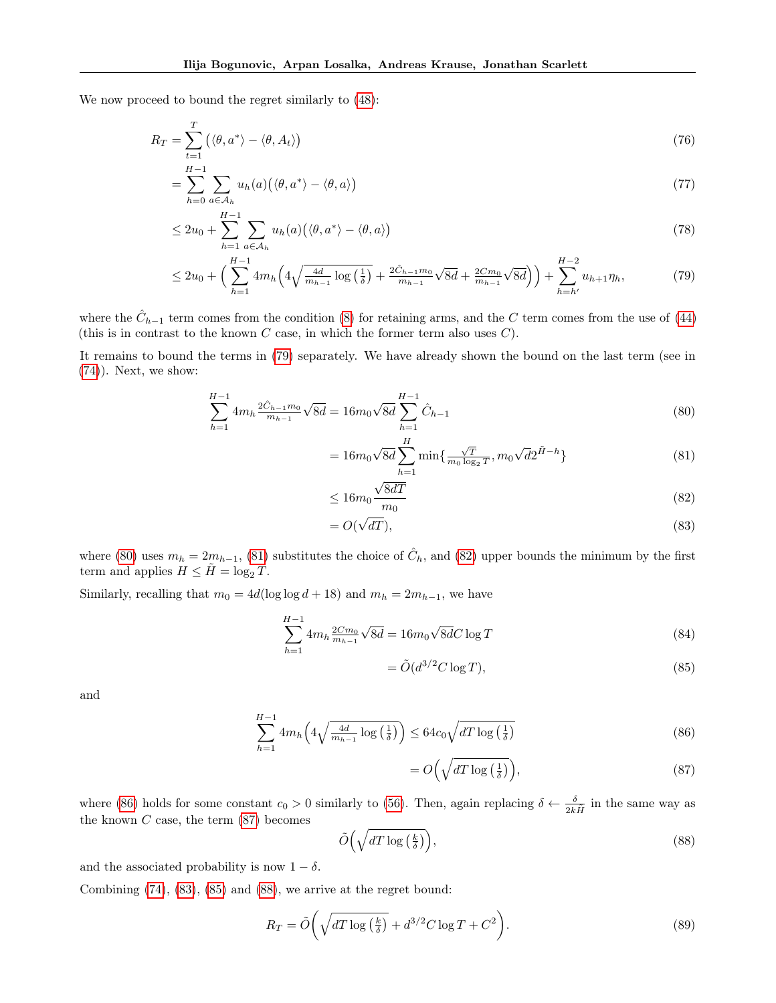We now proceed to bound the regret similarly to [\(48\)](#page-13-10):

$$
R_T = \sum_{t=1}^T \left( \langle \theta, a^* \rangle - \langle \theta, A_t \rangle \right) \tag{76}
$$

$$
=\sum_{h=0}^{H-1}\sum_{a\in\mathcal{A}_h}u_h(a)\big(\langle\theta,a^*\rangle-\langle\theta,a\rangle\big)
$$
\n(77)

$$
\leq 2u_0 + \sum_{h=1}^{H-1} \sum_{a \in \mathcal{A}_h} u_h(a) (\langle \theta, a^* \rangle - \langle \theta, a \rangle)
$$
\n(78)

$$
\leq 2u_0 + \left(\sum_{h=1}^{H-1} 4m_h \left(4\sqrt{\frac{4d}{m_{h-1}}\log\left(\frac{1}{\delta}\right)} + \frac{2\hat{C}_{h-1}m_0}{m_{h-1}}\sqrt{8d} + \frac{2Cm_0}{m_{h-1}}\sqrt{8d}\right)\right) + \sum_{h=h'}^{H-2} u_{h+1}\eta_h,\tag{79}
$$

where the  $\hat{C}_{h-1}$  term comes from the condition [\(8\)](#page-3-3) for retaining arms, and the C term comes from the use of [\(44\)](#page-12-10) (this is in contrast to the known  $C$  case, in which the former term also uses  $C$ ).

It remains to bound the terms in [\(79\)](#page-16-0) separately. We have already shown the bound on the last term (see in  $(74)$ ). Next, we show:

$$
\sum_{h=1}^{H-1} 4m_h \frac{2\hat{C}_{h-1}m_0}{m_{h-1}} \sqrt{8d} = 16m_0 \sqrt{8d} \sum_{h=1}^{H-1} \hat{C}_{h-1}
$$
\n(80)

<span id="page-16-1"></span><span id="page-16-0"></span>
$$
= 16m_0\sqrt{8d} \sum_{h=1}^{H} \min\{\frac{\sqrt{T}}{m_0 \log_2 T}, m_0\sqrt{d}2^{\tilde{H}-h}\}\
$$
(81)

<span id="page-16-3"></span><span id="page-16-2"></span>
$$
\leq 16m_0 \frac{\sqrt{8dT}}{m_0} \tag{82}
$$

$$
=O(\sqrt{dT}),\tag{83}
$$

where [\(80\)](#page-16-1) uses  $m_h = 2m_{h-1}$ , [\(81\)](#page-16-2) substitutes the choice of  $\hat{C}_h$ , and [\(82\)](#page-16-3) upper bounds the minimum by the first term and applies  $H \leq H = \log_2 T$ .

Similarly, recalling that  $m_0 = 4d(\log \log d + 18)$  and  $m_h = 2m_{h-1}$ , we have

$$
\sum_{h=1}^{H-1} 4m_h \frac{2Cm_0}{m_{h-1}} \sqrt{8d} = 16m_0 \sqrt{8d} C \log T
$$
\n(84)

<span id="page-16-6"></span>
$$
= \tilde{O}(d^{3/2}C \log T),\tag{85}
$$

and

$$
\sum_{h=1}^{H-1} 4m_h \left( 4\sqrt{\frac{4d}{m_{h-1}} \log\left(\frac{1}{\delta}\right)} \right) \le 64c_0 \sqrt{dT \log\left(\frac{1}{\delta}\right)}\tag{86}
$$

<span id="page-16-7"></span><span id="page-16-5"></span><span id="page-16-4"></span>
$$
= O\left(\sqrt{dT \log\left(\frac{1}{\delta}\right)}\right),\tag{87}
$$

where [\(86\)](#page-16-4) holds for some constant  $c_0 > 0$  similarly to [\(56\)](#page-13-9). Then, again replacing  $\delta \leftarrow \frac{\delta}{2k\tilde{H}}$  in the same way as the known  $C$  case, the term  $(87)$  becomes

<span id="page-16-8"></span>
$$
\tilde{O}\left(\sqrt{dT\log\left(\frac{k}{\delta}\right)}\right),\tag{88}
$$

and the associated probability is now  $1 - \delta$ .

Combining  $(74)$ ,  $(83)$ ,  $(85)$  and  $(88)$ , we arrive at the regret bound:

$$
R_T = \tilde{O}\left(\sqrt{dT \log\left(\frac{k}{\delta}\right)} + d^{3/2} C \log T + C^2\right).
$$
\n(89)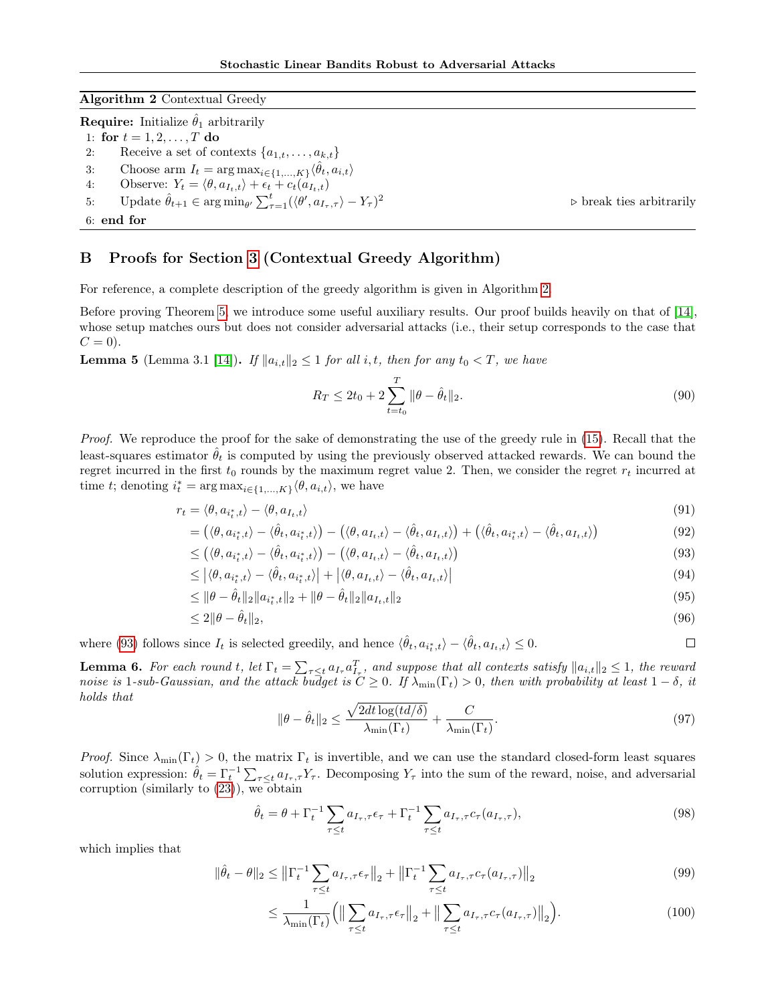<span id="page-17-2"></span>Algorithm 2 Contextual Greedy

**Require:** Initialize  $\hat{\theta}_1$  arbitrarily

- 1: for  $t = 1, 2, ..., T$  do 2: Receive a set of contexts  $\{a_{1,t}, \ldots, a_{k,t}\}$
- 3: Choose arm  $I_t = \arg \max_{i \in \{1, ..., K\}} \langle \hat{\theta}_t, a_{i,t} \rangle$
- 4: Observe:  $Y_t = \langle \theta, a_{I_t,t} \rangle + \epsilon_t + c_t(a_{I_t,t})$
- 5: Update  $\hat{\theta}_{t+1} \in \arg \min_{\theta} \sum_{\tau=1}^{t} (\langle \theta', a_{I_{\tau}, \tau} \rangle Y_{\tau})$

```
\triangleright break ties arbitrarily
```
<span id="page-17-4"></span><span id="page-17-3"></span> $\Box$ 

```
6: end for
```
## <span id="page-17-1"></span>B Proofs for Section [3](#page-4-2) (Contextual Greedy Algorithm)

For reference, a complete description of the greedy algorithm is given in Algorithm [2.](#page-17-2)

Before proving Theorem [5,](#page-5-0) we introduce some useful auxiliary results. Our proof builds heavily on that of [\[14\]](#page-8-9), whose setup matches ours but does not consider adversarial attacks (i.e., their setup corresponds to the case that  $C = 0$ ).

**Lemma 5** (Lemma 3.1 [\[14\]](#page-8-9)). If  $||a_{i,t}||_2 \leq 1$  for all i, t, then for any  $t_0 < T$ , we have

<span id="page-17-5"></span>
$$
R_T \le 2t_0 + 2\sum_{t=t_0}^T \|\theta - \hat{\theta}_t\|_2.
$$
\n(90)

Proof. We reproduce the proof for the sake of demonstrating the use of the greedy rule in [\(15\)](#page-5-2). Recall that the least-squares estimator  $\theta_t$  is computed by using the previously observed attacked rewards. We can bound the regret incurred in the first  $t_0$  rounds by the maximum regret value 2. Then, we consider the regret  $r_t$  incurred at time t; denoting  $i_t^* = \arg \max_{i \in \{1, ..., K\}} \langle \theta, a_{i,t} \rangle$ , we have

$$
r_t = \langle \theta, a_{i_t^*,t} \rangle - \langle \theta, a_{I_t,t} \rangle \tag{91}
$$

$$
= (\langle \theta, a_{i_t^*,t} \rangle - \langle \hat{\theta}_t, a_{i_t^*,t} \rangle) - (\langle \theta, a_{I_t,t} \rangle - \langle \hat{\theta}_t, a_{I_t,t} \rangle) + (\langle \hat{\theta}_t, a_{i_t^*,t} \rangle - \langle \hat{\theta}_t, a_{I_t,t} \rangle)
$$
(92)

$$
\leq \left( \langle \theta, a_{i_t, t} \rangle - \langle \hat{\theta}_t, a_{i_t, t} \rangle \right) - \left( \langle \theta, a_{I_t, t} \rangle - \langle \hat{\theta}_t, a_{I_t, t} \rangle \right) \tag{93}
$$

$$
\leq \left| \langle \theta, a_{i_t^*,t} \rangle - \langle \hat{\theta}_t, a_{i_t^*,t} \rangle \right| + \left| \langle \theta, a_{I_t,t} \rangle - \langle \hat{\theta}_t, a_{I_t,t} \rangle \right| \tag{94}
$$

$$
\leq \|\theta - \hat{\theta}_t\|_2 \|a_{i_t^*,t}\|_2 + \|\theta - \hat{\theta}_t\|_2 \|a_{I_t,t}\|_2
$$
\n(95)

$$
\leq 2\|\theta - \hat{\theta}_t\|_2,\tag{96}
$$

where [\(93\)](#page-17-3) follows since  $I_t$  is selected greedily, and hence  $\langle \hat{\theta}_t, a_{i_t,t} \rangle - \langle \hat{\theta}_t, a_{I_t,t} \rangle \leq 0$ .

<span id="page-17-0"></span>**Lemma 6.** For each round t, let  $\Gamma_t = \sum_{\tau \leq t} a_{I_{\tau}} a_{I_{\tau}}^T$ , and suppose that all contexts satisfy  $||a_{i,t}||_2 \leq 1$ , the reward noise is 1-sub-Gaussian, and the attack budget is  $C \geq 0$ . If  $\lambda_{\min}(\Gamma_t) > 0$ , then with probability at least  $1 - \delta$ , it holds that

$$
\|\theta - \hat{\theta}_t\|_2 \le \frac{\sqrt{2dt \log(t d/\delta)}}{\lambda_{\min}(\Gamma_t)} + \frac{C}{\lambda_{\min}(\Gamma_t)}.
$$
\n(97)

*Proof.* Since  $\lambda_{\min}(\Gamma_t) > 0$ , the matrix  $\Gamma_t$  is invertible, and we can use the standard closed-form least squares solution expression:  $\hat{\theta}_t = \Gamma_t^{-1} \sum_{\tau \leq t} a_{I_\tau, \tau} Y_\tau$ . Decomposing  $Y_\tau$  into the sum of the reward, noise, and adversarial corruption (similarly to  $(23)$ ), we obtain

$$
\hat{\theta}_t = \theta + \Gamma_t^{-1} \sum_{\tau \le t} a_{I_\tau, \tau} \epsilon_\tau + \Gamma_t^{-1} \sum_{\tau \le t} a_{I_\tau, \tau} c_\tau (a_{I_\tau, \tau}), \tag{98}
$$

which implies that

$$
\|\hat{\theta}_t - \theta\|_2 \le \left\|\Gamma_t^{-1} \sum_{\tau \le t} a_{I_\tau, \tau} \epsilon_\tau\right\|_2 + \left\|\Gamma_t^{-1} \sum_{\tau \le t} a_{I_\tau, \tau} c_\tau (a_{I_\tau, \tau})\right\|_2
$$
\n(99)

$$
\leq \frac{1}{\lambda_{\min}(\Gamma_t)} \Big( \big\| \sum_{\tau \leq t} a_{I_\tau, \tau} \epsilon_\tau \big\|_2 + \big\| \sum_{\tau \leq t} a_{I_\tau, \tau} c_\tau (a_{I_\tau, \tau}) \big\|_2 \Big). \tag{100}
$$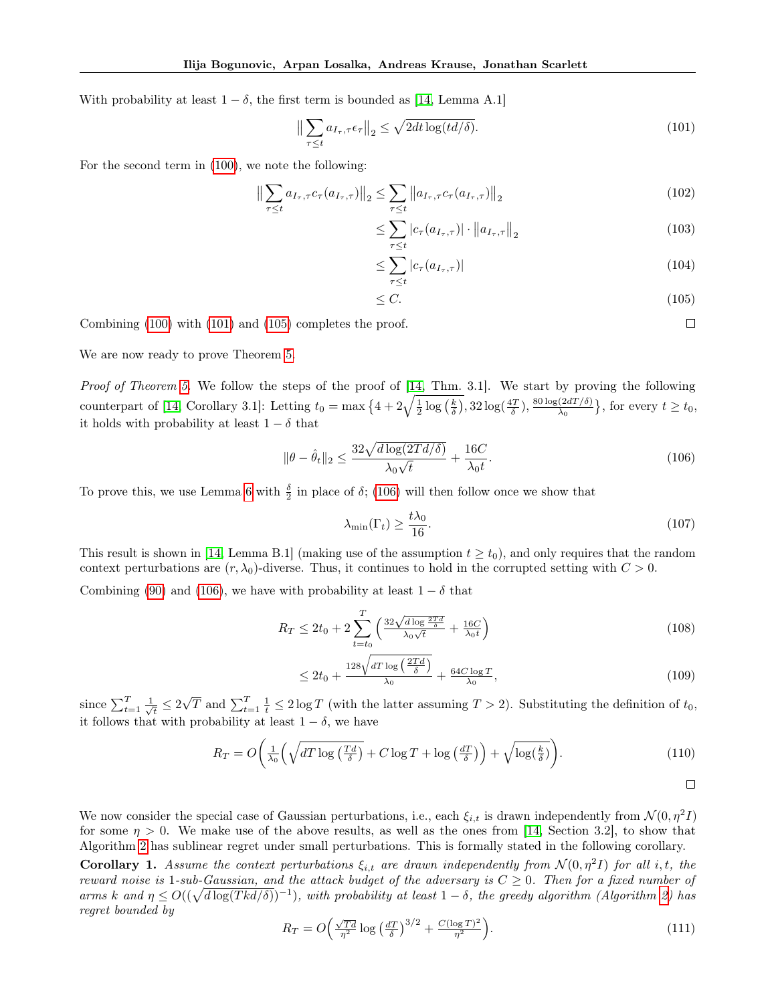With probability at least  $1 - \delta$ , the first term is bounded as [\[14,](#page-8-9) Lemma A.1]

<span id="page-18-1"></span>
$$
\left\| \sum_{\tau \le t} a_{I_{\tau}, \tau} \epsilon_{\tau} \right\|_{2} \le \sqrt{2dt \log(t d/\delta)}.
$$
\n(101)

For the second term in [\(100\)](#page-17-4), we note the following:

$$
\left\| \sum_{\tau \leq t} a_{I_{\tau}, \tau} c_{\tau}(a_{I_{\tau}, \tau}) \right\|_{2} \leq \sum_{\tau \leq t} \left\| a_{I_{\tau}, \tau} c_{\tau}(a_{I_{\tau}, \tau}) \right\|_{2} \tag{102}
$$

$$
\leq \sum_{\tau \leq t} |c_{\tau}(a_{I_{\tau},\tau})| \cdot ||a_{I_{\tau},\tau}||_2 \tag{103}
$$

$$
\leq \sum_{\tau \leq t} |c_{\tau}(a_{I_{\tau},\tau})| \tag{104}
$$

$$
\leq C.\tag{105}
$$

Combining [\(100\)](#page-17-4) with [\(101\)](#page-18-1) and [\(105\)](#page-18-2) completes the proof.

We are now ready to prove Theorem [5.](#page-5-0)

Proof of Theorem [5.](#page-5-0) We follow the steps of the proof of [\[14,](#page-8-9) Thm. 3.1]. We start by proving the following counterpart of [\[14,](#page-8-9) Corollary 3.1]: Letting  $t_0 = \max\left\{4 + 2\sqrt{\frac{1}{2}\log\left(\frac{k}{\delta}\right)}, 32\log\left(\frac{4T}{\delta}\right), \frac{80\log(2dT/\delta)}{\lambda_0}\right\}$  $\left\{\frac{(2dT/\delta)}{\lambda_0}\right\}$ , for every  $t \geq t_0$ , it holds with probability at least  $1 - \delta$  that

<span id="page-18-3"></span>
$$
\|\theta - \hat{\theta}_t\|_2 \le \frac{32\sqrt{d\log(2Td/\delta)}}{\lambda_0\sqrt{t}} + \frac{16C}{\lambda_0 t}.\tag{106}
$$

To prove this, we use Lemma [6](#page-17-0) with  $\frac{\delta}{2}$  in place of  $\delta$ ; [\(106\)](#page-18-3) will then follow once we show that

$$
\lambda_{\min}(\Gamma_t) \ge \frac{t\lambda_0}{16}.\tag{107}
$$

This result is shown in [\[14,](#page-8-9) Lemma B.1] (making use of the assumption  $t \geq t_0$ ), and only requires that the random context perturbations are  $(r, \lambda_0)$ -diverse. Thus, it continues to hold in the corrupted setting with  $C > 0$ .

Combining [\(90\)](#page-17-5) and [\(106\)](#page-18-3), we have with probability at least  $1 - \delta$  that

$$
R_T \le 2t_0 + 2\sum_{t=t_0}^T \left(\frac{32\sqrt{d\log\frac{2Td}{\delta}}}{\lambda_0\sqrt{t}} + \frac{16C}{\lambda_0 t}\right) \tag{108}
$$

$$
\leq 2t_0 + \frac{128\sqrt{dT \log\left(\frac{2Td}{\delta}\right)}}{\lambda_0} + \frac{64C \log T}{\lambda_0},\tag{109}
$$

since  $\sum_{t=1}^{T} \frac{1}{\sqrt{t}}$  $\frac{1}{\overline{t}} \leq 2$  $\sqrt{T}$  and  $\sum_{t=1}^{T} \frac{1}{t} \leq 2 \log T$  (with the latter assuming  $T > 2$ ). Substituting the definition of  $t_0$ , it follows that with probability at least  $1 - \delta$ , we have

$$
R_T = O\left(\frac{1}{\lambda_0} \left(\sqrt{dT \log\left(\frac{Td}{\delta}\right)} + C \log T + \log\left(\frac{dT}{\delta}\right)\right) + \sqrt{\log\left(\frac{k}{\delta}\right)}\right).
$$
(110)

 $\Box$ 

<span id="page-18-2"></span> $\Box$ 

We now consider the special case of Gaussian perturbations, i.e., each  $\xi_{i,t}$  is drawn independently from  $\mathcal{N}(0, \eta^2 I)$ for some  $\eta > 0$ . We make use of the above results, as well as the ones from [\[14,](#page-8-9) Section 3.2], to show that Algorithm [2](#page-17-2) has sublinear regret under small perturbations. This is formally stated in the following corollary.

<span id="page-18-0"></span>**Corollary 1.** Assume the context perturbations  $\xi_{i,t}$  are drawn independently from  $\mathcal{N}(0, \eta^2 I)$  for all i, t, the reward noise is 1-sub-Gaussian, and the attack budget of the adversary is  $C \geq 0$ . Then for a fixed number of arms k and  $\eta \le O((\sqrt{d \log(T k d / \delta)})^{-1})$ , with probability at least  $1-\delta$ , the greedy algorithm (Algorithm [2\)](#page-17-2) has regret bounded by

$$
R_T = O\left(\frac{\sqrt{Td}}{\eta^2} \log\left(\frac{dT}{\delta}\right)^{3/2} + \frac{C(\log T)^2}{\eta^2}\right).
$$
\n(111)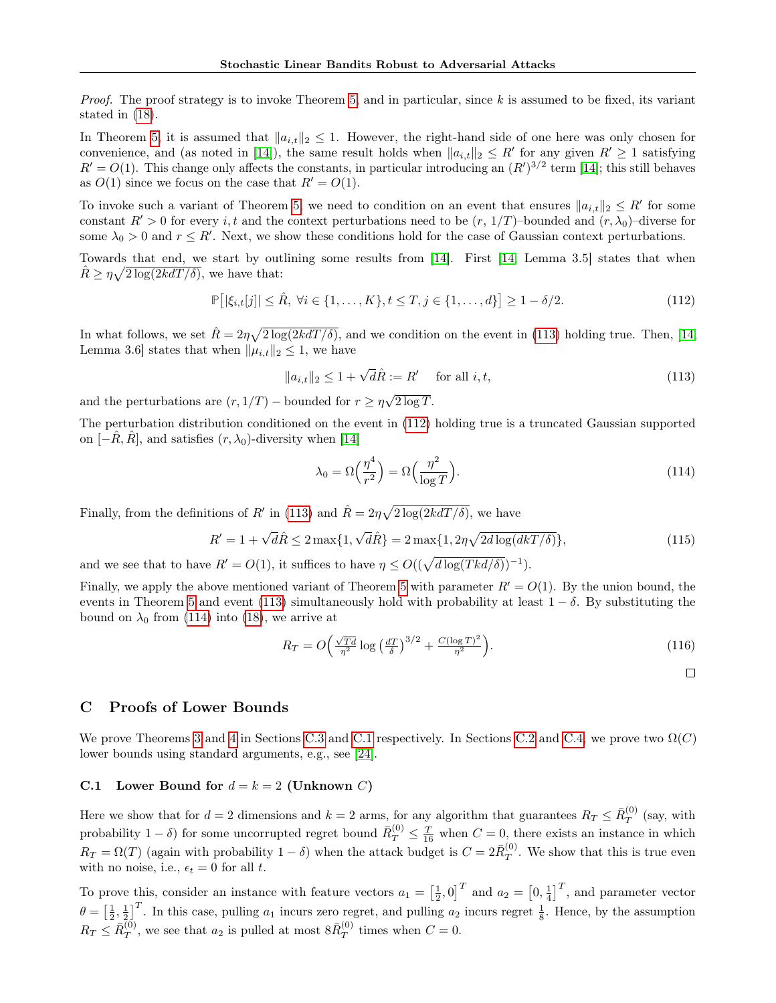*Proof.* The proof strategy is to invoke Theorem [5,](#page-5-0) and in particular, since  $k$  is assumed to be fixed, its variant stated in [\(18\)](#page-5-3).

In Theorem [5,](#page-5-0) it is assumed that  $||a_{i,t}||_2 \leq 1$ . However, the right-hand side of one here was only chosen for convenience, and (as noted in [\[14\]](#page-8-9)), the same result holds when  $||a_{i,t}||_2 \leq R'$  for any given  $R' \geq 1$  satisfying  $R' = O(1)$ . This change only affects the constants, in particular introducing an  $(R')^{3/2}$  term [\[14\]](#page-8-9); this still behaves as  $O(1)$  since we focus on the case that  $R' = O(1)$ .

To invoke such a variant of Theorem [5,](#page-5-0) we need to condition on an event that ensures  $||a_{i,t}||_2 \leq R'$  for some constant  $R' > 0$  for every i, t and the context perturbations need to be  $(r, 1/T)$ –bounded and  $(r, \lambda_0)$ –diverse for some  $\lambda_0 > 0$  and  $r \le R'$ . Next, we show these conditions hold for the case of Gaussian context perturbations.

Towards that end, we start by outlining some results from [\[14\]](#page-8-9). First [\[14,](#page-8-9) Lemma 3.5] states that when  $\hat{R} \geq \eta \sqrt{2 \log(2k dT/\delta)}$ , we have that:

<span id="page-19-2"></span>
$$
\mathbb{P}\big[|\xi_{i,t}[j]|\leq \hat{R}, \,\forall i \in \{1,\ldots,K\}, t \leq T, j \in \{1,\ldots,d\}\big] \geq 1 - \delta/2. \tag{112}
$$

In what follows, we set  $\hat{R} = 2\eta\sqrt{2\log(2kdT/\delta)}$ , and we condition on the event in [\(113\)](#page-19-1) holding true. Then, [\[14,](#page-8-9) Lemma 3.6] states that when  $\|\mu_{i,t}\|_2 \leq 1$ , we have

<span id="page-19-1"></span>
$$
||a_{i,t}||_2 \le 1 + \sqrt{d}\hat{R} := R' \quad \text{for all } i, t,
$$
\n
$$
(113)
$$

and the perturbations are  $(r, 1/T)$  – bounded for  $r \ge \eta \sqrt{2 \log T}$ .

The perturbation distribution conditioned on the event in [\(112\)](#page-19-2) holding true is a truncated Gaussian supported on  $[-\hat{R}, \hat{R}]$ , and satisfies  $(r, \lambda_0)$ -diversity when [\[14\]](#page-8-9)

<span id="page-19-3"></span>
$$
\lambda_0 = \Omega\left(\frac{\eta^4}{r^2}\right) = \Omega\left(\frac{\eta^2}{\log T}\right). \tag{114}
$$

Finally, from the definitions of R' in [\(113\)](#page-19-1) and  $\hat{R} = 2\eta \sqrt{2 \log(2k dT/\delta)}$ , we have

$$
R' = 1 + \sqrt{d}\hat{R} \le 2\max\{1, \sqrt{d}\hat{R}\} = 2\max\{1, 2\eta\sqrt{2d\log(dk/\delta)}\},\tag{115}
$$

and we see that to have  $R' = O(1)$ , it suffices to have  $\eta \leq O((\sqrt{d \log(T k d/\delta)})^{-1})$ .

Finally, we apply the above mentioned variant of Theorem [5](#page-5-0) with parameter  $R' = O(1)$ . By the union bound, the events in Theorem [5](#page-5-0) and event [\(113\)](#page-19-1) simultaneously hold with probability at least  $1 - \delta$ . By substituting the bound on  $\lambda_0$  from [\(114\)](#page-19-3) into [\(18\)](#page-5-3), we arrive at

$$
R_T = O\left(\frac{\sqrt{Td}}{\eta^2} \log\left(\frac{dT}{\delta}\right)^{3/2} + \frac{C(\log T)^2}{\eta^2}\right).
$$
\n(116)

 $\Box$ 

### <span id="page-19-0"></span>C Proofs of Lower Bounds

We prove Theorems [3](#page-4-3) and [4](#page-4-1) in Sections [C.3](#page-20-1) and [C.1](#page-19-4) respectively. In Sections [C.2](#page-20-2) and [C.4,](#page-20-3) we prove two  $\Omega(C)$ lower bounds using standard arguments, e.g., see [\[24\]](#page-8-2).

## <span id="page-19-4"></span>C.1 Lower Bound for  $d = k = 2$  (Unknown C)

Here we show that for  $d = 2$  dimensions and  $k = 2$  arms, for any algorithm that guarantees  $R_T \leq \bar{R}_T^{(0)}$  $T^{(0)}$  (say, with probability  $1-\delta$ ) for some uncorrupted regret bound  $\bar{R}_T^{(0)} \leq \frac{T}{16}$  when  $C=0$ , there exists an instance in which  $R_T = \Omega(T)$  (again with probability  $1 - \delta$ ) when the attack budget is  $C = 2\bar{R}_T^{(0)}$  $T^{(0)}$ . We show that this is true even with no noise, i.e.,  $\epsilon_t = 0$  for all t.

To prove this, consider an instance with feature vectors  $a_1 = \left[\frac{1}{2}, 0\right]^T$  and  $a_2 = \left[0, \frac{1}{4}\right]^T$ , and parameter vector  $\theta = \left[\frac{1}{2}, \frac{1}{2}\right]^T$ . In this case, pulling  $a_1$  incurs zero regret, and pulling  $a_2$  incurs regret  $\frac{1}{8}$ . Hence, by the assumption  $R_T \leq \bar{R}^{(0)}_T$  $T(T)$ , we see that  $a_2$  is pulled at most  $8\bar{R}_T^{(0)}$  $T^{(0)}$  times when  $C = 0$ .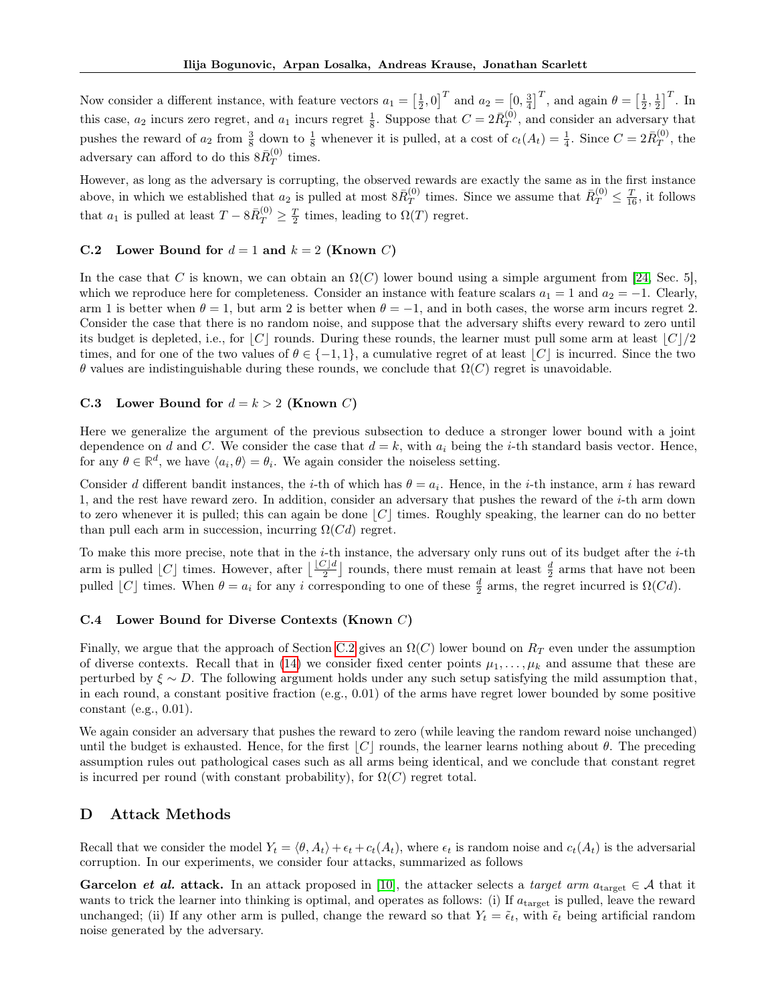Now consider a different instance, with feature vectors  $a_1 = \left[\frac{1}{2}, 0\right]^T$  and  $a_2 = \left[0, \frac{3}{4}\right]^T$ , and again  $\theta = \left[\frac{1}{2}, \frac{1}{2}\right]^T$ . In this case,  $a_2$  incurs zero regret, and  $a_1$  incurs regret  $\frac{1}{8}$ . Suppose that  $C = 2\bar{R}_T^{(0)}$  $T^{(0)}$ , and consider an adversary that pushes the reward of  $a_2$  from  $\frac{3}{8}$  down to  $\frac{1}{8}$  whenever it is pulled, at a cost of  $c_t(A_t) = \frac{1}{4}$ . Since  $C = 2\overline{R}_T^{(0)}$  $T^{\left(0\right)}$ , the adversary can afford to do this  $8\bar{R}_T^{(0)}$  $T^{(0)}$  times.

However, as long as the adversary is corrupting, the observed rewards are exactly the same as in the first instance above, in which we established that  $a_2$  is pulled at most  $8\bar{R}_T^{(0)}$  $T(T(T)$  times. Since we assume that  $\bar{R}_T^{(0)} \leq \frac{T}{16}$ , it follows that  $a_1$  is pulled at least  $T - 8\overline{R}_T^{(0)} \ge \frac{T}{2}$  times, leading to  $\Omega(T)$  regret.

#### <span id="page-20-2"></span>**C.2** Lower Bound for  $d = 1$  and  $k = 2$  (Known C)

In the case that C is known, we can obtain an  $\Omega(C)$  lower bound using a simple argument from [\[24,](#page-8-2) Sec. 5], which we reproduce here for completeness. Consider an instance with feature scalars  $a_1 = 1$  and  $a_2 = -1$ . Clearly, arm 1 is better when  $\theta = 1$ , but arm 2 is better when  $\theta = -1$ , and in both cases, the worse arm incurs regret 2. Consider the case that there is no random noise, and suppose that the adversary shifts every reward to zero until its budget is depleted, i.e., for  $|C|$  rounds. During these rounds, the learner must pull some arm at least  $|C|/2$ times, and for one of the two values of  $\theta \in \{-1,1\}$ , a cumulative regret of at least  $|C|$  is incurred. Since the two θ values are indistinguishable during these rounds, we conclude that  $Ω(C)$  regret is unavoidable.

#### <span id="page-20-1"></span>C.3 Lower Bound for  $d = k > 2$  (Known C)

Here we generalize the argument of the previous subsection to deduce a stronger lower bound with a joint dependence on d and C. We consider the case that  $d = k$ , with  $a_i$  being the i-th standard basis vector. Hence, for any  $\theta \in \mathbb{R}^d$ , we have  $\langle a_i, \theta \rangle = \theta_i$ . We again consider the noiseless setting.

Consider d different bandit instances, the *i*-th of which has  $\theta = a_i$ . Hence, in the *i*-th instance, arm *i* has reward 1, and the rest have reward zero. In addition, consider an adversary that pushes the reward of the i-th arm down to zero whenever it is pulled; this can again be done  $|C|$  times. Roughly speaking, the learner can do no better than pull each arm in succession, incurring  $\Omega(Cd)$  regret.

To make this more precise, note that in the  $i$ -th instance, the adversary only runs out of its budget after the  $i$ -th arm is pulled  $[C]$  times. However, after  $\lfloor \frac{|C|d}{2} \rfloor$  rounds, there must remain at least  $\frac{d}{2}$  arms that have not been pulled  $[C]$  times. When  $\theta = a_i$  for any i corresponding to one of these  $\frac{d}{2}$  arms, the regret incurred is  $\Omega(Cd)$ .

#### <span id="page-20-3"></span>C.4 Lower Bound for Diverse Contexts (Known C)

Finally, we argue that the approach of Section [C.2](#page-20-2) gives an  $\Omega(C)$  lower bound on  $R_T$  even under the assumption of diverse contexts. Recall that in [\(14\)](#page-5-4) we consider fixed center points  $\mu_1, \ldots, \mu_k$  and assume that these are perturbed by  $\xi \sim D$ . The following argument holds under any such setup satisfying the mild assumption that, in each round, a constant positive fraction (e.g., 0.01) of the arms have regret lower bounded by some positive constant (e.g., 0.01).

We again consider an adversary that pushes the reward to zero (while leaving the random reward noise unchanged) until the budget is exhausted. Hence, for the first  $|C|$  rounds, the learner learns nothing about  $\theta$ . The preceding assumption rules out pathological cases such as all arms being identical, and we conclude that constant regret is incurred per round (with constant probability), for  $\Omega(C)$  regret total.

## <span id="page-20-0"></span>D Attack Methods

Recall that we consider the model  $Y_t = \langle \theta, A_t \rangle + \epsilon_t + c_t(A_t)$ , where  $\epsilon_t$  is random noise and  $c_t(A_t)$  is the adversarial corruption. In our experiments, we consider four attacks, summarized as follows

Garcelon *et al.* attack. In an attack proposed in [\[10\]](#page-8-5), the attacker selects a *target arm*  $a_{\text{target}} \in A$  that it wants to trick the learner into thinking is optimal, and operates as follows: (i) If  $a_{\text{target}}$  is pulled, leave the reward unchanged; (ii) If any other arm is pulled, change the reward so that  $Y_t = \tilde{\epsilon}_t$ , with  $\tilde{\epsilon}_t$  being artificial random noise generated by the adversary.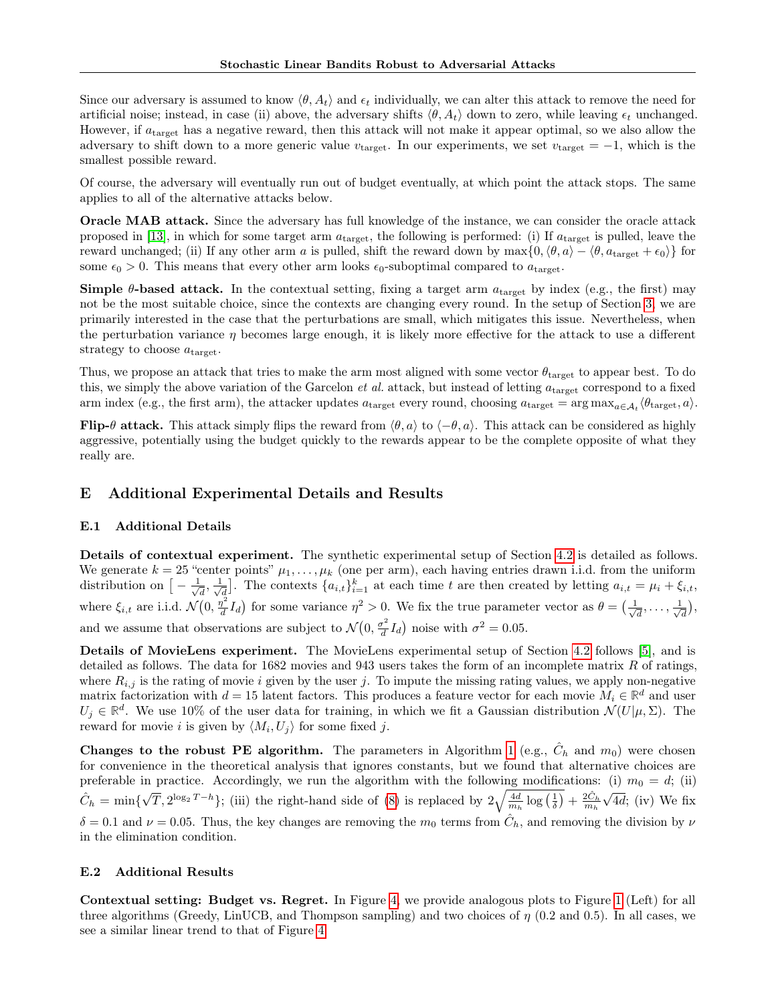Since our adversary is assumed to know  $\langle \theta, A_t \rangle$  and  $\epsilon_t$  individually, we can alter this attack to remove the need for artificial noise; instead, in case (ii) above, the adversary shifts  $\langle \theta, A_t \rangle$  down to zero, while leaving  $\epsilon_t$  unchanged. However, if  $a_{\text{target}}$  has a negative reward, then this attack will not make it appear optimal, so we also allow the adversary to shift down to a more generic value  $v_{\text{target}}$ . In our experiments, we set  $v_{\text{target}} = -1$ , which is the smallest possible reward.

Of course, the adversary will eventually run out of budget eventually, at which point the attack stops. The same applies to all of the alternative attacks below.

Oracle MAB attack. Since the adversary has full knowledge of the instance, we can consider the oracle attack proposed in [\[13\]](#page-8-6), in which for some target arm  $a_{\text{target}}$ , the following is performed: (i) If  $a_{\text{target}}$  is pulled, leave the reward unchanged; (ii) If any other arm a is pulled, shift the reward down by max $\{0, \langle \theta, a \rangle - \langle \theta, a_{\text{target}} + \epsilon_0 \rangle\}$  for some  $\epsilon_0 > 0$ . This means that every other arm looks  $\epsilon_0$ -suboptimal compared to  $a_{\text{target}}$ .

**Simple**  $\theta$ **-based attack.** In the contextual setting, fixing a target arm  $a_{\text{target}}$  by index (e.g., the first) may not be the most suitable choice, since the contexts are changing every round. In the setup of Section [3,](#page-4-2) we are primarily interested in the case that the perturbations are small, which mitigates this issue. Nevertheless, when the perturbation variance  $\eta$  becomes large enough, it is likely more effective for the attack to use a different strategy to choose  $a_{\text{target}}$ .

Thus, we propose an attack that tries to make the arm most aligned with some vector  $\theta_{\text{target}}$  to appear best. To do this, we simply the above variation of the Garcelon *et al.* attack, but instead of letting  $a_{\text{target}}$  correspond to a fixed arm index (e.g., the first arm), the attacker updates  $a_{\text{target}}$  every round, choosing  $a_{\text{target}} = \arg \max_{a \in \mathcal{A}_t} \langle \theta_{\text{target}}, a \rangle$ .

Flip- $\theta$  attack. This attack simply flips the reward from  $\langle \theta, a \rangle$  to  $\langle -\theta, a \rangle$ . This attack can be considered as highly aggressive, potentially using the budget quickly to the rewards appear to be the complete opposite of what they really are.

## <span id="page-21-0"></span>E Additional Experimental Details and Results

### E.1 Additional Details

Details of contextual experiment. The synthetic experimental setup of Section [4.2](#page-6-3) is detailed as follows. We generate  $k = 25$  "center points"  $\mu_1, \ldots, \mu_k$  (one per arm), each having entries drawn i.i.d. from the uniform distribution on  $\left[-\frac{1}{\sqrt{2}}\right]$  $\overline{\overline{d}}$ ,  $\frac{1}{\sqrt{ }}$  $\frac{d}{dt}$ . The contexts  $\{a_{i,t}\}_{i=1}^k$  at each time t are then created by letting  $a_{i,t} = \mu_i + \xi_{i,t}$ , where  $\xi_{i,t}$  are i.i.d.  $\mathcal{N}(0, \frac{\eta^2}{d})$  $\frac{q^2}{d}I_d$  for some variance  $\eta^2 > 0$ . We fix the true parameter vector as  $\theta = \left(\frac{1}{\sqrt{d}}\right)$  $\frac{1}{d},\ldots,\frac{1}{\sqrt{d}}$  $_{\overline{\overline{d}}}),$ and we assume that observations are subject to  $\mathcal{N}(0, \frac{\sigma^2}{d})$  $\frac{\sigma^2}{d}I_d$ ) noise with  $\sigma^2 = 0.05$ .

Details of MovieLens experiment. The MovieLens experimental setup of Section [4.2](#page-6-3) follows [\[5\]](#page-8-16), and is detailed as follows. The data for  $1682$  movies and  $943$  users takes the form of an incomplete matrix R of ratings, where  $R_{i,j}$  is the rating of movie i given by the user j. To impute the missing rating values, we apply non-negative matrix factorization with  $d = 15$  latent factors. This produces a feature vector for each movie  $M_i \in \mathbb{R}^d$  and user  $U_j \in \mathbb{R}^d$ . We use 10% of the user data for training, in which we fit a Gaussian distribution  $\mathcal{N}(U|\mu, \Sigma)$ . The reward for movie i is given by  $\langle M_i, U_j \rangle$  for some fixed j.

**Changes to the robust PE algorithm.** The parameters in Algorithm [1](#page-3-1) (e.g.,  $\hat{C}_h$  and  $m_0$ ) were chosen for convenience in the theoretical analysis that ignores constants, but we found that alternative choices are preferable in practice. Accordingly, we run the algorithm with the following modifications: (i)  $m_0 = d$ ; (ii)  $\hat{C}_h = \min\{$ √  $\overline{T}, 2^{\log_2 T - h}$ ; (iii) the right-hand side of [\(8\)](#page-3-3) is replaced by  $2\sqrt{\frac{4d}{m_h}\log\left(\frac{1}{\delta}\right)} + \frac{2\hat{C}_h}{m_h}$ √  $4d$ ; (iv) We fix  $\delta = 0.1$  and  $\nu = 0.05$ . Thus, the key changes are removing the  $m_0$  terms from  $\hat{C}_h$ , and removing the division by  $\nu$ in the elimination condition.

### E.2 Additional Results

Contextual setting: Budget vs. Regret. In Figure [4,](#page-22-1) we provide analogous plots to Figure [1](#page-6-0) (Left) for all three algorithms (Greedy, LinUCB, and Thompson sampling) and two choices of  $\eta$  (0.2 and 0.5). In all cases, we see a similar linear trend to that of Figure [4.](#page-22-1)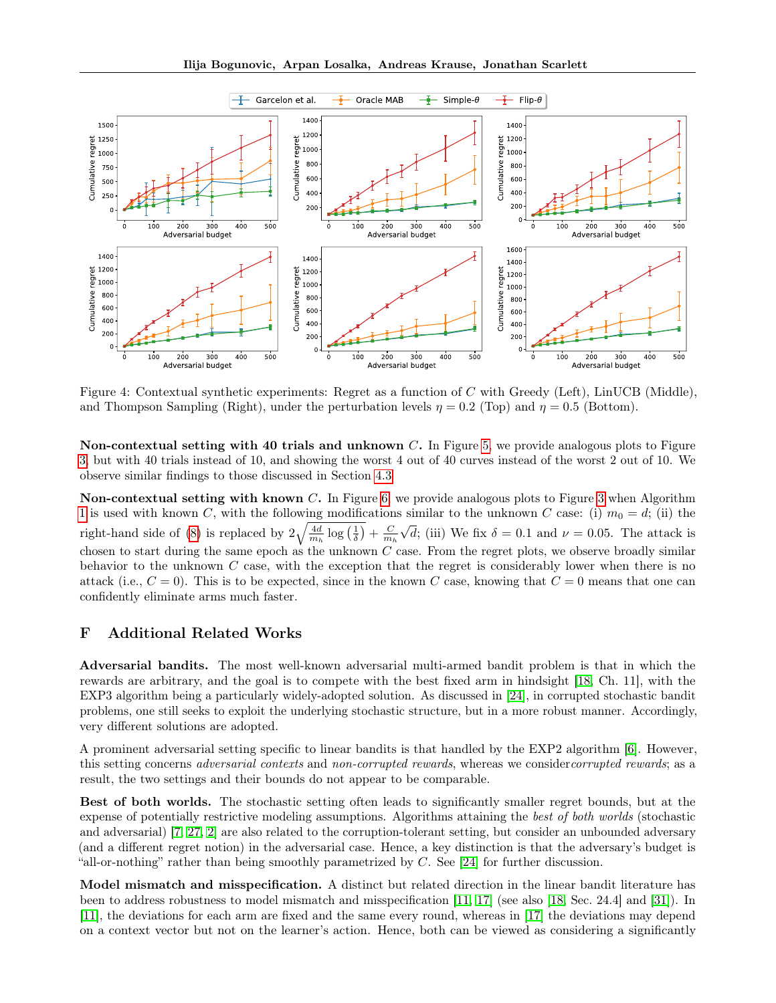<span id="page-22-1"></span>

Figure 4: Contextual synthetic experiments: Regret as a function of C with Greedy (Left), LinUCB (Middle), and Thompson Sampling (Right), under the perturbation levels  $\eta = 0.2$  (Top) and  $\eta = 0.5$  (Bottom).

Non-contextual setting with 40 trials and unknown  $C$ . In Figure [5,](#page-23-0) we provide analogous plots to Figure [3,](#page-7-0) but with 40 trials instead of 10, and showing the worst 4 out of 40 curves instead of the worst 2 out of 10. We observe similar findings to those discussed in Section [4.3](#page-7-1)

**Non-contextual setting with known**  $C$ . In Figure [6,](#page-23-1) we provide analogous plots to Figure [3](#page-7-0) when Algorithm [1](#page-3-1) is used with known C, with the following modifications similar to the unknown C case: (i)  $m_0 = d$ ; (ii) the right-hand side of [\(8\)](#page-3-3) is replaced by  $2\sqrt{\frac{4d}{m_h}\log\left(\frac{1}{\delta}\right)} + \frac{C}{m_h}$ √ d; (iii) We fix  $\delta = 0.1$  and  $\nu = 0.05$ . The attack is chosen to start during the same epoch as the unknown C case. From the regret plots, we observe broadly similar behavior to the unknown  $C$  case, with the exception that the regret is considerably lower when there is no attack (i.e.,  $C = 0$ ). This is to be expected, since in the known C case, knowing that  $C = 0$  means that one can confidently eliminate arms much faster.

## <span id="page-22-0"></span>F Additional Related Works

Adversarial bandits. The most well-known adversarial multi-armed bandit problem is that in which the rewards are arbitrary, and the goal is to compete with the best fixed arm in hindsight [\[18,](#page-8-0) Ch. 11], with the EXP3 algorithm being a particularly widely-adopted solution. As discussed in [\[24\]](#page-8-2), in corrupted stochastic bandit problems, one still seeks to exploit the underlying stochastic structure, but in a more robust manner. Accordingly, very different solutions are adopted.

A prominent adversarial setting specific to linear bandits is that handled by the EXP2 algorithm [\[6\]](#page-8-17). However, this setting concerns *adversarial contexts* and non-corrupted rewards, whereas we considercorrupted rewards; as a result, the two settings and their bounds do not appear to be comparable.

Best of both worlds. The stochastic setting often leads to significantly smaller regret bounds, but at the expense of potentially restrictive modeling assumptions. Algorithms attaining the best of both worlds (stochastic and adversarial) [\[7,](#page-8-18) [27,](#page-9-4) [2\]](#page-8-19) are also related to the corruption-tolerant setting, but consider an unbounded adversary (and a different regret notion) in the adversarial case. Hence, a key distinction is that the adversary's budget is "all-or-nothing" rather than being smoothly parametrized by C. See [\[24\]](#page-8-2) for further discussion.

Model mismatch and misspecification. A distinct but related direction in the linear bandit literature has been to address robustness to model mismatch and misspecification [\[11,](#page-8-20) [17\]](#page-8-21) (see also [\[18,](#page-8-0) Sec. 24.4] and [\[31\]](#page-9-5)). In [\[11\]](#page-8-20), the deviations for each arm are fixed and the same every round, whereas in [\[17\]](#page-8-21) the deviations may depend on a context vector but not on the learner's action. Hence, both can be viewed as considering a significantly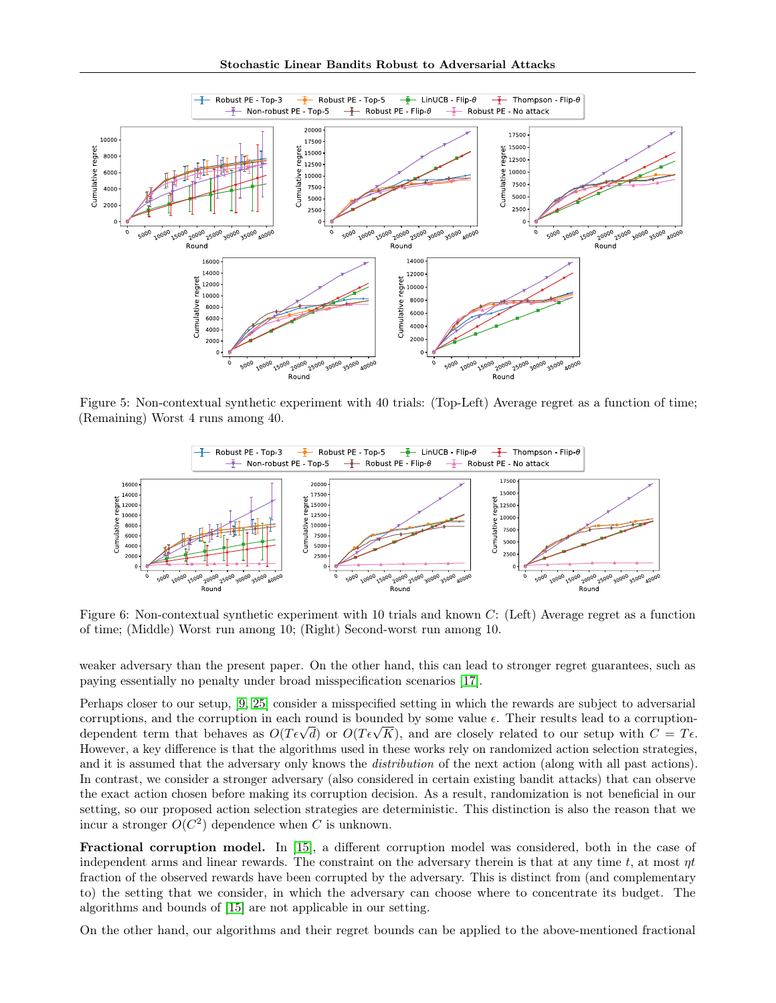<span id="page-23-0"></span>

Figure 5: Non-contextual synthetic experiment with 40 trials: (Top-Left) Average regret as a function of time; (Remaining) Worst 4 runs among 40.

<span id="page-23-1"></span>

Figure 6: Non-contextual synthetic experiment with 10 trials and known C: (Left) Average regret as a function of time; (Middle) Worst run among 10; (Right) Second-worst run among 10.

weaker adversary than the present paper. On the other hand, this can lead to stronger regret guarantees, such as paying essentially no penalty under broad misspecification scenarios [\[17\]](#page-8-21).

Perhaps closer to our setup, [\[9,](#page-8-22) [25\]](#page-9-6) consider a misspecified setting in which the rewards are subject to adversarial corruptions, and the corruption in each round is bounded by some value  $\epsilon$ . Their results lead to a corruptioncorruptions, and the corruption in each round is bounded by some value  $\epsilon$ . Their results lead to a corruption-<br>dependent term that behaves as  $O(T\epsilon\sqrt{d})$  or  $O(T\epsilon\sqrt{K})$ , and are closely related to our setup with  $C = T\epsilon$ However, a key difference is that the algorithms used in these works rely on randomized action selection strategies, and it is assumed that the adversary only knows the *distribution* of the next action (along with all past actions). In contrast, we consider a stronger adversary (also considered in certain existing bandit attacks) that can observe the exact action chosen before making its corruption decision. As a result, randomization is not beneficial in our setting, so our proposed action selection strategies are deterministic. This distinction is also the reason that we incur a stronger  $O(C^2)$  dependence when C is unknown.

Fractional corruption model. In [\[15\]](#page-8-23), a different corruption model was considered, both in the case of independent arms and linear rewards. The constraint on the adversary therein is that at any time t, at most  $nt$ fraction of the observed rewards have been corrupted by the adversary. This is distinct from (and complementary to) the setting that we consider, in which the adversary can choose where to concentrate its budget. The algorithms and bounds of [\[15\]](#page-8-23) are not applicable in our setting.

On the other hand, our algorithms and their regret bounds can be applied to the above-mentioned fractional